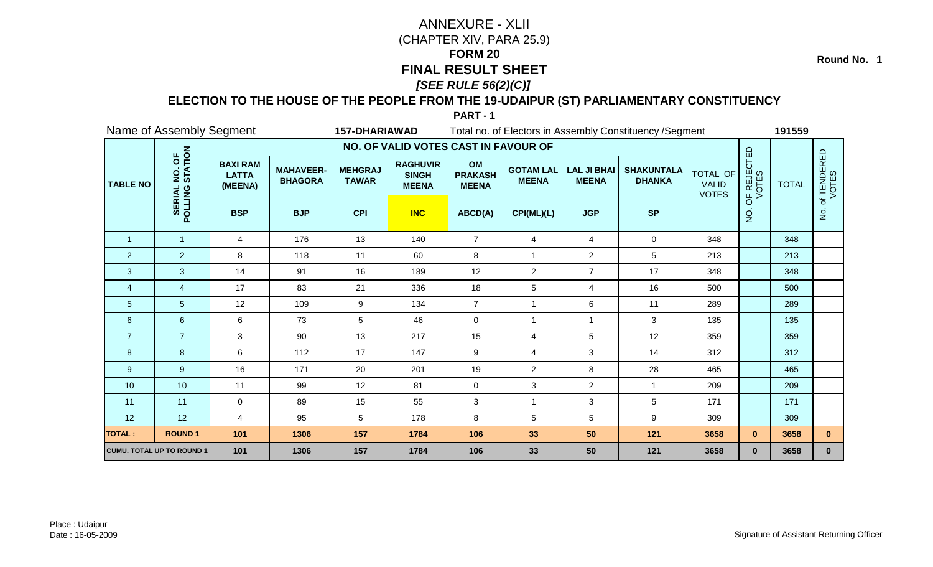**Round No. 1**

### **ELECTION TO THE HOUSE OF THE PEOPLE FROM THE 19-UDAIPUR (ST) PARLIAMENTARY CONSTITUENCY**

|                 | Name of Assembly Segment         |                                            |                                    | <b>157-DHARIAWAD</b>           |                                                 |                                      |                                  |                                    | Total no. of Electors in Assembly Constituency / Segment |                                          |                      | 191559       |                      |
|-----------------|----------------------------------|--------------------------------------------|------------------------------------|--------------------------------|-------------------------------------------------|--------------------------------------|----------------------------------|------------------------------------|----------------------------------------------------------|------------------------------------------|----------------------|--------------|----------------------|
|                 |                                  |                                            |                                    |                                | NO. OF VALID VOTES CAST IN FAVOUR OF            |                                      |                                  |                                    |                                                          |                                          |                      |              |                      |
| <b>TABLE NO</b> | NO. OF<br>STATION                | <b>BAXI RAM</b><br><b>LATTA</b><br>(MEENA) | <b>MAHAVEER-</b><br><b>BHAGORA</b> | <b>MEHGRAJ</b><br><b>TAWAR</b> | <b>RAGHUVIR</b><br><b>SINGH</b><br><b>MEENA</b> | OM<br><b>PRAKASH</b><br><b>MEENA</b> | <b>GOTAM LAL</b><br><b>MEENA</b> | <b>LAL JI BHAI</b><br><b>MEENA</b> | <b>SHAKUNTALA</b><br><b>DHANKA</b>                       | TOTAL OF<br><b>VALID</b><br><b>VOTES</b> | OF REJECTED<br>VOTES | <b>TOTAL</b> | of TENDERED<br>VOTES |
|                 | POLLING                          | <b>BSP</b>                                 | <b>BJP</b>                         | <b>CPI</b>                     | <b>INC</b>                                      | ABCD(A)                              | CPI(ML)(L)                       | <b>JGP</b>                         | <b>SP</b>                                                |                                          | $\frac{1}{2}$        |              | $\dot{z}$            |
| $\overline{1}$  | $\mathbf{1}$                     | $\overline{4}$                             | 176                                | 13                             | 140                                             | $\overline{7}$                       | 4                                | 4                                  | $\mathbf 0$                                              | 348                                      |                      | 348          |                      |
| $\overline{2}$  | $\overline{2}$                   | 8                                          | 118                                | 11                             | 60                                              | $\bf 8$                              | $\mathbf{1}$                     | $\overline{a}$                     | 5                                                        | 213                                      |                      | 213          |                      |
| $\mathbf{3}$    | 3                                | 14                                         | 91                                 | 16                             | 189                                             | 12                                   | $\overline{2}$                   | $\overline{7}$                     | 17                                                       | 348                                      |                      | 348          |                      |
| 4               | 4                                | 17                                         | 83                                 | 21                             | 336                                             | 18                                   | 5                                | 4                                  | 16                                                       | 500                                      |                      | 500          |                      |
| 5               | 5                                | 12                                         | 109                                | 9                              | 134                                             | $\overline{7}$                       | $\mathbf{1}$                     | 6                                  | 11                                                       | 289                                      |                      | 289          |                      |
| 6               | $6\phantom{a}$                   | 6                                          | 73                                 | 5                              | 46                                              | $\mathbf 0$                          | $\mathbf{1}$                     | $\mathbf{1}$                       | 3                                                        | 135                                      |                      | 135          |                      |
| $\overline{7}$  | $\overline{7}$                   | 3                                          | 90                                 | 13                             | 217                                             | 15                                   | 4                                | 5                                  | 12                                                       | 359                                      |                      | 359          |                      |
| 8               | 8                                | 6                                          | 112                                | 17                             | 147                                             | 9                                    | 4                                | 3                                  | 14                                                       | 312                                      |                      | 312          |                      |
| 9               | 9                                | 16                                         | 171                                | 20                             | 201                                             | 19                                   | $\overline{2}$                   | 8                                  | 28                                                       | 465                                      |                      | 465          |                      |
| 10              | 10                               | 11                                         | 99                                 | 12                             | 81                                              | 0                                    | 3                                | $\overline{a}$                     | $\mathbf{1}$                                             | 209                                      |                      | 209          |                      |
| 11              | 11                               | $\mathbf 0$                                | 89                                 | 15                             | 55                                              | 3                                    | $\mathbf{1}$                     | 3                                  | 5                                                        | 171                                      |                      | 171          |                      |
| 12              | 12                               | 4                                          | 95                                 | 5                              | 178                                             | 8                                    | 5                                | 5                                  | 9                                                        | 309                                      |                      | 309          |                      |
| <b>TOTAL:</b>   | <b>ROUND1</b>                    | 101                                        | 1306                               | 157                            | 1784                                            | 106                                  | 33                               | 50                                 | 121                                                      | 3658                                     | $\mathbf{0}$         | 3658         | $\mathbf{0}$         |
|                 | <b>CUMU. TOTAL UP TO ROUND 1</b> | 101                                        | 1306                               | 157                            | 1784                                            | 106                                  | 33                               | 50                                 | 121                                                      | 3658                                     | $\mathbf{0}$         | 3658         | $\mathbf{0}$         |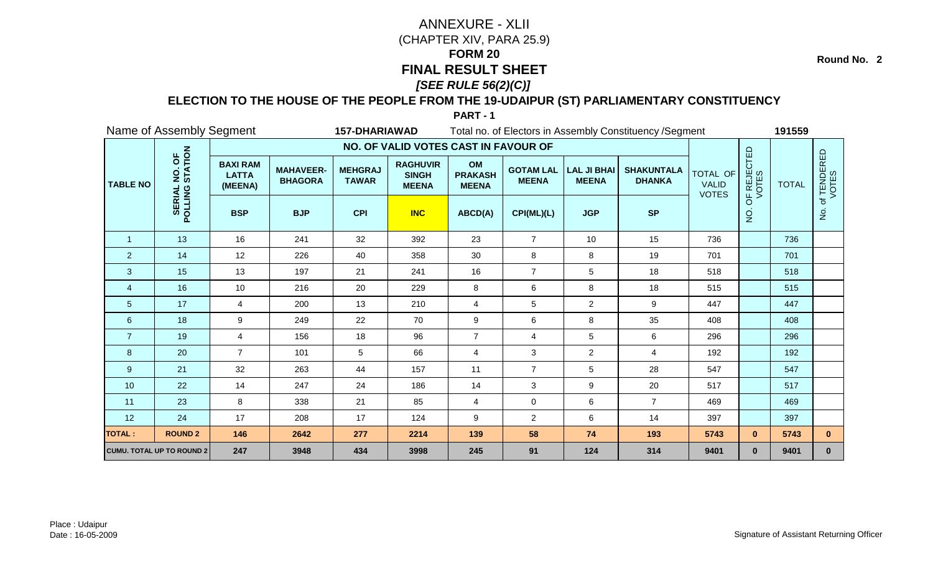**Round No. 2**

### **ELECTION TO THE HOUSE OF THE PEOPLE FROM THE 19-UDAIPUR (ST) PARLIAMENTARY CONSTITUENCY**

|                 | Name of Assembly Segment         |                                            |                                    | <b>157-DHARIAWAD</b>           |                                                 |                                      |                                  |                                    | Total no. of Electors in Assembly Constituency / Segment |                                                 |                      | 191559       |                      |
|-----------------|----------------------------------|--------------------------------------------|------------------------------------|--------------------------------|-------------------------------------------------|--------------------------------------|----------------------------------|------------------------------------|----------------------------------------------------------|-------------------------------------------------|----------------------|--------------|----------------------|
|                 |                                  |                                            |                                    |                                | NO. OF VALID VOTES CAST IN FAVOUR OF            |                                      |                                  |                                    |                                                          |                                                 |                      |              |                      |
| <b>TABLE NO</b> | NO. OF<br>STATION                | <b>BAXI RAM</b><br><b>LATTA</b><br>(MEENA) | <b>MAHAVEER-</b><br><b>BHAGORA</b> | <b>MEHGRAJ</b><br><b>TAWAR</b> | <b>RAGHUVIR</b><br><b>SINGH</b><br><b>MEENA</b> | OM<br><b>PRAKASH</b><br><b>MEENA</b> | <b>GOTAM LAL</b><br><b>MEENA</b> | <b>LAL JI BHAI</b><br><b>MEENA</b> | <b>SHAKUNTALA</b><br><b>DHANKA</b>                       | <b>TOTAL OF</b><br><b>VALID</b><br><b>VOTES</b> | OF REJECTED<br>VOTES | <b>TOTAL</b> | of TENDERED<br>VOTES |
|                 | POLLING                          | <b>BSP</b>                                 | <b>BJP</b>                         | <b>CPI</b>                     | <b>INC</b>                                      | ABCD(A)                              | CPI(ML)(L)                       | <b>JGP</b>                         | <b>SP</b>                                                |                                                 | $\overline{Q}$       |              | $\dot{z}$            |
| $\overline{1}$  | 13                               | 16                                         | 241                                | 32                             | 392                                             | 23                                   | $\overline{7}$                   | 10                                 | 15                                                       | 736                                             |                      | 736          |                      |
| $\overline{2}$  | 14                               | 12                                         | 226                                | 40                             | 358                                             | 30                                   | 8                                | 8                                  | 19                                                       | 701                                             |                      | 701          |                      |
| $\mathbf{3}$    | 15                               | 13                                         | 197                                | 21                             | 241                                             | 16                                   | $\overline{7}$                   | 5                                  | 18                                                       | 518                                             |                      | 518          |                      |
| $\overline{4}$  | 16                               | 10                                         | 216                                | 20                             | 229                                             | 8                                    | 6                                | 8                                  | 18                                                       | 515                                             |                      | 515          |                      |
| $\overline{5}$  | 17                               | 4                                          | 200                                | 13                             | 210                                             | $\overline{4}$                       | 5                                | $\overline{2}$                     | 9                                                        | 447                                             |                      | 447          |                      |
| $6\phantom{1}6$ | 18                               | 9                                          | 249                                | 22                             | 70                                              | $\boldsymbol{9}$                     | 6                                | 8                                  | 35                                                       | 408                                             |                      | 408          |                      |
| $\overline{7}$  | 19                               | 4                                          | 156                                | 18                             | 96                                              | $\overline{7}$                       | 4                                | 5                                  | 6                                                        | 296                                             |                      | 296          |                      |
| 8               | 20                               | $\overline{7}$                             | 101                                | 5                              | 66                                              | $\overline{4}$                       | 3                                | $\overline{2}$                     | $\overline{4}$                                           | 192                                             |                      | 192          |                      |
| 9               | 21                               | 32                                         | 263                                | 44                             | 157                                             | 11                                   | $\overline{7}$                   | 5                                  | 28                                                       | 547                                             |                      | 547          |                      |
| 10              | 22                               | 14                                         | 247                                | 24                             | 186                                             | 14                                   | 3                                | 9                                  | 20                                                       | 517                                             |                      | 517          |                      |
| 11              | 23                               | 8                                          | 338                                | 21                             | 85                                              | $\overline{4}$                       | $\pmb{0}$                        | 6                                  | $\overline{7}$                                           | 469                                             |                      | 469          |                      |
| 12              | 24                               | 17                                         | 208                                | 17                             | 124                                             | 9                                    | $\overline{2}$                   | 6                                  | 14                                                       | 397                                             |                      | 397          |                      |
| <b>TOTAL:</b>   | <b>ROUND 2</b>                   | 146                                        | 2642                               | 277                            | 2214                                            | 139                                  | 58                               | 74                                 | 193                                                      | 5743                                            | $\mathbf{0}$         | 5743         | $\mathbf{0}$         |
|                 | <b>CUMU. TOTAL UP TO ROUND 2</b> | 247                                        | 3948                               | 434                            | 3998                                            | 245                                  | 91                               | 124                                | 314                                                      | 9401                                            | $\mathbf{0}$         | 9401         | $\mathbf 0$          |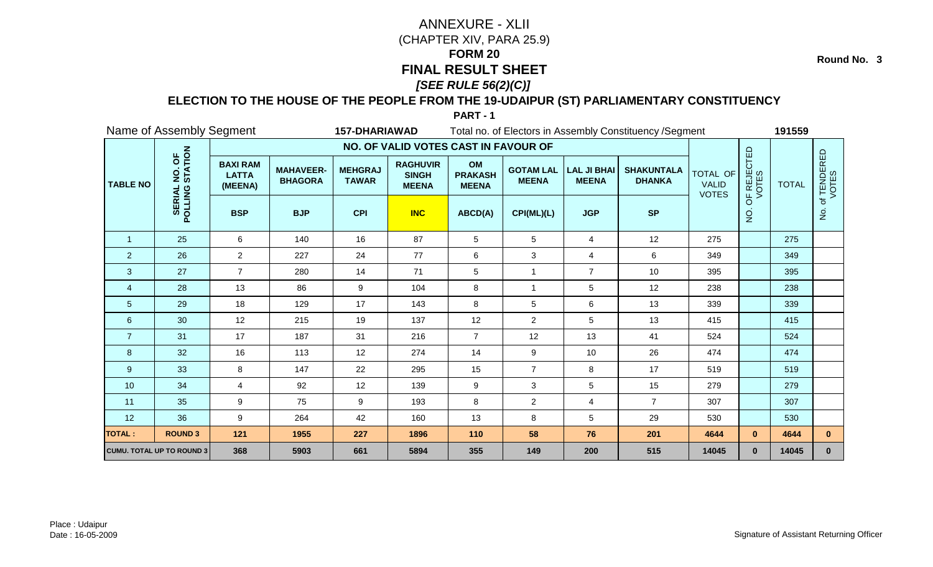**Round No. 3**

### **ELECTION TO THE HOUSE OF THE PEOPLE FROM THE 19-UDAIPUR (ST) PARLIAMENTARY CONSTITUENCY**

|                  | Name of Assembly Segment         |                                            |                                    | <b>157-DHARIAWAD</b>           |                                                 |                                      |                                  |                                    | Total no. of Electors in Assembly Constituency / Segment |                                                 |                      | 191559       |                      |
|------------------|----------------------------------|--------------------------------------------|------------------------------------|--------------------------------|-------------------------------------------------|--------------------------------------|----------------------------------|------------------------------------|----------------------------------------------------------|-------------------------------------------------|----------------------|--------------|----------------------|
|                  |                                  |                                            |                                    |                                | NO. OF VALID VOTES CAST IN FAVOUR OF            |                                      |                                  |                                    |                                                          |                                                 |                      |              |                      |
| <b>TABLE NO</b>  | NO. OF<br>STATION                | <b>BAXI RAM</b><br><b>LATTA</b><br>(MEENA) | <b>MAHAVEER-</b><br><b>BHAGORA</b> | <b>MEHGRAJ</b><br><b>TAWAR</b> | <b>RAGHUVIR</b><br><b>SINGH</b><br><b>MEENA</b> | OM<br><b>PRAKASH</b><br><b>MEENA</b> | <b>GOTAM LAL</b><br><b>MEENA</b> | <b>LAL JI BHAI</b><br><b>MEENA</b> | <b>SHAKUNTALA</b><br><b>DHANKA</b>                       | <b>TOTAL OF</b><br><b>VALID</b><br><b>VOTES</b> | OF REJECTED<br>VOTES | <b>TOTAL</b> | of TENDERED<br>VOTES |
|                  | POLLING                          | <b>BSP</b>                                 | <b>BJP</b>                         | <b>CPI</b>                     | <b>INC</b>                                      | ABCD(A)                              | CPI(ML)(L)                       | <b>JGP</b>                         | <b>SP</b>                                                |                                                 | $\frac{1}{2}$        |              | $\dot{z}$            |
| $\mathbf{1}$     | 25                               | 6                                          | 140                                | 16                             | 87                                              | 5                                    | 5                                | $\overline{4}$                     | 12                                                       | 275                                             |                      | 275          |                      |
| $\overline{2}$   | 26                               | $\overline{a}$                             | 227                                | 24                             | 77                                              | 6                                    | 3                                | 4                                  | 6                                                        | 349                                             |                      | 349          |                      |
| 3                | 27                               | $\overline{7}$                             | 280                                | 14                             | 71                                              | 5                                    | 1                                | $\overline{7}$                     | 10                                                       | 395                                             |                      | 395          |                      |
| $\overline{4}$   | 28                               | 13                                         | 86                                 | 9                              | 104                                             | 8                                    | $\overline{1}$                   | 5                                  | 12                                                       | 238                                             |                      | 238          |                      |
| 5                | 29                               | 18                                         | 129                                | 17                             | 143                                             | 8                                    | 5                                | 6                                  | 13                                                       | 339                                             |                      | 339          |                      |
| $\boldsymbol{6}$ | 30                               | 12                                         | 215                                | 19                             | 137                                             | 12                                   | $\overline{2}$                   | 5                                  | 13                                                       | 415                                             |                      | 415          |                      |
| $\overline{7}$   | 31                               | 17                                         | 187                                | 31                             | 216                                             | $\overline{7}$                       | 12                               | 13                                 | 41                                                       | 524                                             |                      | 524          |                      |
| 8                | 32                               | 16                                         | 113                                | 12                             | 274                                             | 14                                   | 9                                | 10                                 | 26                                                       | 474                                             |                      | 474          |                      |
| 9                | 33                               | 8                                          | 147                                | 22                             | 295                                             | 15                                   | $\overline{7}$                   | 8                                  | 17                                                       | 519                                             |                      | 519          |                      |
| 10               | 34                               | 4                                          | 92                                 | 12                             | 139                                             | $\boldsymbol{9}$                     | 3                                | 5                                  | 15                                                       | 279                                             |                      | 279          |                      |
| 11               | 35                               | 9                                          | 75                                 | 9                              | 193                                             | 8                                    | $\overline{2}$                   | 4                                  | $\overline{7}$                                           | 307                                             |                      | 307          |                      |
| 12               | 36                               | 9                                          | 264                                | 42                             | 160                                             | 13                                   | 8                                | 5                                  | 29                                                       | 530                                             |                      | 530          |                      |
| <b>TOTAL:</b>    | <b>ROUND 3</b>                   | 121                                        | 1955                               | 227                            | 1896                                            | 110                                  | 58                               | 76                                 | 201                                                      | 4644                                            | $\mathbf{0}$         | 4644         | $\mathbf{0}$         |
|                  | <b>CUMU. TOTAL UP TO ROUND 3</b> | 368                                        | 5903                               | 661                            | 5894                                            | 355                                  | 149                              | 200                                | 515                                                      | 14045                                           | $\mathbf{0}$         | 14045        | $\mathbf 0$          |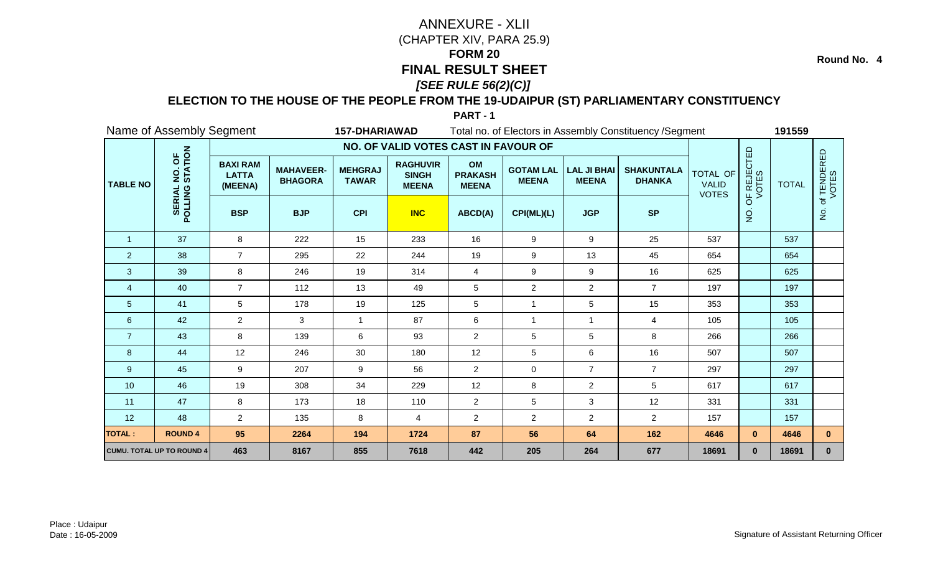**Round No. 4**

### **ELECTION TO THE HOUSE OF THE PEOPLE FROM THE 19-UDAIPUR (ST) PARLIAMENTARY CONSTITUENCY**

|                 | Name of Assembly Segment         |                                            |                                    | <b>157-DHARIAWAD</b>           |                                                 |                                      |                                  |                                    | Total no. of Electors in Assembly Constituency / Segment |                                                 |                      | 191559       |                     |
|-----------------|----------------------------------|--------------------------------------------|------------------------------------|--------------------------------|-------------------------------------------------|--------------------------------------|----------------------------------|------------------------------------|----------------------------------------------------------|-------------------------------------------------|----------------------|--------------|---------------------|
|                 |                                  |                                            |                                    |                                | NO. OF VALID VOTES CAST IN FAVOUR OF            |                                      |                                  |                                    |                                                          |                                                 |                      |              |                     |
| <b>TABLE NO</b> | NO. OF<br>STATION                | <b>BAXI RAM</b><br><b>LATTA</b><br>(MEENA) | <b>MAHAVEER-</b><br><b>BHAGORA</b> | <b>MEHGRAJ</b><br><b>TAWAR</b> | <b>RAGHUVIR</b><br><b>SINGH</b><br><b>MEENA</b> | OM<br><b>PRAKASH</b><br><b>MEENA</b> | <b>GOTAM LAL</b><br><b>MEENA</b> | <b>LAL JI BHAI</b><br><b>MEENA</b> | <b>SHAKUNTALA</b><br><b>DHANKA</b>                       | <b>TOTAL OF</b><br><b>VALID</b><br><b>VOTES</b> | OF REJECTED<br>VOTES | <b>TOTAL</b> | f TENDERED<br>VOTES |
|                 | <b>SERIAL</b><br>POLLING         | <b>BSP</b>                                 | <b>BJP</b>                         | <b>CPI</b>                     | <b>INC</b>                                      | ABCD(A)                              | CPI(ML)(L)                       | <b>JGP</b>                         | <b>SP</b>                                                |                                                 | $\frac{1}{2}$        |              | $\frac{1}{2}$       |
| $\overline{1}$  | 37                               | 8                                          | 222                                | 15                             | 233                                             | 16                                   | 9                                | 9                                  | 25                                                       | 537                                             |                      | 537          |                     |
| 2               | 38                               | $\overline{7}$                             | 295                                | 22                             | 244                                             | 19                                   | 9                                | 13                                 | 45                                                       | 654                                             |                      | 654          |                     |
| 3               | 39                               | 8                                          | 246                                | 19                             | 314                                             | 4                                    | 9                                | 9                                  | 16                                                       | 625                                             |                      | 625          |                     |
| $\overline{4}$  | 40                               | $\overline{7}$                             | 112                                | 13                             | 49                                              | 5                                    | $\overline{c}$                   | $\overline{2}$                     | $\overline{7}$                                           | 197                                             |                      | 197          |                     |
| 5               | 41                               | 5                                          | 178                                | 19                             | 125                                             | 5                                    | $\overline{1}$                   | 5                                  | 15                                                       | 353                                             |                      | 353          |                     |
| $\,6$           | 42                               | $\overline{2}$                             | 3                                  | $\mathbf{1}$                   | 87                                              | 6                                    | $\mathbf{1}$                     | $\mathbf{1}$                       | $\overline{4}$                                           | 105                                             |                      | 105          |                     |
| $\overline{7}$  | 43                               | 8                                          | 139                                | 6                              | 93                                              | $\boldsymbol{2}$                     | 5                                | 5                                  | 8                                                        | 266                                             |                      | 266          |                     |
| 8               | 44                               | 12                                         | 246                                | 30                             | 180                                             | 12                                   | 5                                | 6                                  | 16                                                       | 507                                             |                      | 507          |                     |
| 9               | 45                               | 9                                          | 207                                | 9                              | 56                                              | $\overline{2}$                       | 0                                | $\overline{7}$                     | $\overline{7}$                                           | 297                                             |                      | 297          |                     |
| 10              | 46                               | 19                                         | 308                                | 34                             | 229                                             | 12                                   | 8                                | $\overline{2}$                     | 5                                                        | 617                                             |                      | 617          |                     |
| 11              | 47                               | 8                                          | 173                                | 18                             | 110                                             | $\overline{c}$                       | 5                                | 3                                  | 12                                                       | 331                                             |                      | 331          |                     |
| 12              | 48                               | $\overline{2}$                             | 135                                | 8                              | 4                                               | $\overline{2}$                       | $\overline{c}$                   | $\overline{a}$                     | $\overline{2}$                                           | 157                                             |                      | 157          |                     |
| <b>TOTAL:</b>   | <b>ROUND 4</b>                   | 95                                         | 2264                               | 194                            | 1724                                            | 87                                   | 56                               | 64                                 | 162                                                      | 4646                                            | $\mathbf{0}$         | 4646         | $\mathbf{0}$        |
|                 | <b>CUMU. TOTAL UP TO ROUND 4</b> | 463                                        | 8167                               | 855                            | 7618                                            | 442                                  | 205                              | 264                                | 677                                                      | 18691                                           | $\mathbf{0}$         | 18691        | $\mathbf{0}$        |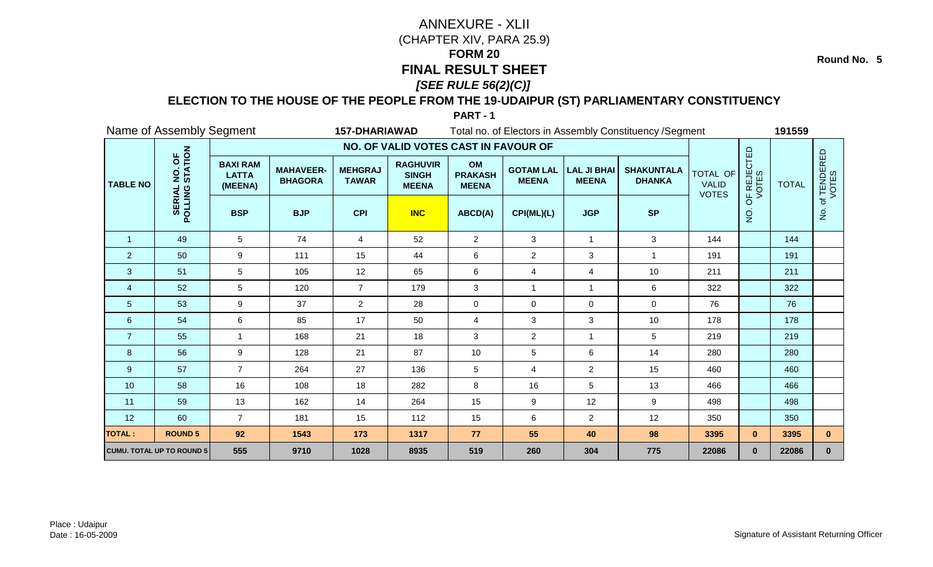**Round No. 5**

### **ELECTION TO THE HOUSE OF THE PEOPLE FROM THE 19-UDAIPUR (ST) PARLIAMENTARY CONSTITUENCY**

|                 | Name of Assembly Segment         |                                            |                                    | <b>157-DHARIAWAD</b>           |                                                 |                                      |                                  |                                    | Total no. of Electors in Assembly Constituency / Segment |                                          |                      | 191559       |                      |
|-----------------|----------------------------------|--------------------------------------------|------------------------------------|--------------------------------|-------------------------------------------------|--------------------------------------|----------------------------------|------------------------------------|----------------------------------------------------------|------------------------------------------|----------------------|--------------|----------------------|
|                 |                                  |                                            |                                    |                                | NO. OF VALID VOTES CAST IN FAVOUR OF            |                                      |                                  |                                    |                                                          |                                          |                      |              |                      |
| <b>TABLE NO</b> | NO. OF<br>STATION                | <b>BAXI RAM</b><br><b>LATTA</b><br>(MEENA) | <b>MAHAVEER-</b><br><b>BHAGORA</b> | <b>MEHGRAJ</b><br><b>TAWAR</b> | <b>RAGHUVIR</b><br><b>SINGH</b><br><b>MEENA</b> | OM<br><b>PRAKASH</b><br><b>MEENA</b> | <b>GOTAM LAL</b><br><b>MEENA</b> | <b>LAL JI BHAI</b><br><b>MEENA</b> | <b>SHAKUNTALA</b><br><b>DHANKA</b>                       | TOTAL OF<br><b>VALID</b><br><b>VOTES</b> | OF REJECTED<br>VOTES | <b>TOTAL</b> | of TENDERED<br>VOTES |
|                 | POLLING                          | <b>BSP</b>                                 | <b>BJP</b>                         | <b>CPI</b>                     | <b>INC</b>                                      | ABCD(A)                              | CPI(ML)(L)                       | <b>JGP</b>                         | <b>SP</b>                                                |                                          | $\frac{1}{2}$        |              | $\dot{z}$            |
| $\mathbf{1}$    | 49                               | $5\overline{)}$                            | 74                                 | 4                              | 52                                              | $\overline{2}$                       | 3                                | $\mathbf{1}$                       | $\mathbf{3}$                                             | 144                                      |                      | 144          |                      |
| $\overline{2}$  | 50                               | $\boldsymbol{9}$                           | 111                                | 15                             | 44                                              | 6                                    | $\overline{2}$                   | 3                                  |                                                          | 191                                      |                      | 191          |                      |
| 3               | 51                               | 5                                          | 105                                | 12                             | 65                                              | $\,6\,$                              | 4                                | 4                                  | $10$                                                     | 211                                      |                      | 211          |                      |
| 4               | 52                               | 5                                          | 120                                | $\overline{7}$                 | 179                                             | 3                                    | $\mathbf{1}$                     | $\mathbf 1$                        | 6                                                        | 322                                      |                      | 322          |                      |
| 5               | 53                               | 9                                          | 37                                 | $\overline{2}$                 | 28                                              | $\mathbf 0$                          | 0                                | 0                                  | $\mathbf 0$                                              | 76                                       |                      | 76           |                      |
| 6               | 54                               | 6                                          | 85                                 | 17                             | 50                                              | $\overline{4}$                       | 3                                | 3                                  | 10                                                       | 178                                      |                      | 178          |                      |
| $\overline{7}$  | 55                               | 1                                          | 168                                | 21                             | 18                                              | 3                                    | $\overline{c}$                   | $\mathbf 1$                        | 5                                                        | 219                                      |                      | 219          |                      |
| 8               | 56                               | $\boldsymbol{9}$                           | 128                                | 21                             | 87                                              | 10                                   | 5                                | 6                                  | 14                                                       | 280                                      |                      | 280          |                      |
| 9               | 57                               | $\overline{7}$                             | 264                                | 27                             | 136                                             | 5                                    | 4                                | $\overline{2}$                     | 15                                                       | 460                                      |                      | 460          |                      |
| 10              | 58                               | 16                                         | 108                                | 18                             | 282                                             | 8                                    | 16                               | 5                                  | 13                                                       | 466                                      |                      | 466          |                      |
| 11              | 59                               | 13                                         | 162                                | 14                             | 264                                             | 15                                   | $\boldsymbol{9}$                 | 12                                 | 9                                                        | 498                                      |                      | 498          |                      |
| 12              | 60                               | $\overline{7}$                             | 181                                | 15                             | 112                                             | 15                                   | 6                                | $\overline{2}$                     | 12                                                       | 350                                      |                      | 350          |                      |
| <b>TOTAL:</b>   | <b>ROUND 5</b>                   | 92                                         | 1543                               | 173                            | 1317                                            | 77                                   | 55                               | 40                                 | 98                                                       | 3395                                     | $\mathbf{0}$         | 3395         | $\mathbf{0}$         |
|                 | <b>CUMU. TOTAL UP TO ROUND 5</b> | 555                                        | 9710                               | 1028                           | 8935                                            | 519                                  | 260                              | 304                                | 775                                                      | 22086                                    | $\mathbf{0}$         | 22086        | $\mathbf{0}$         |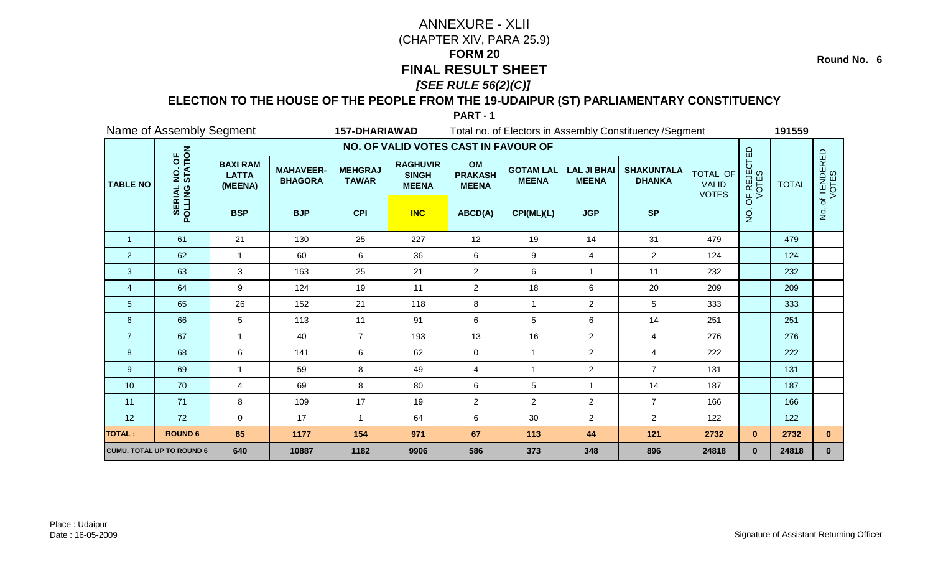**Round No. 6**

### **ELECTION TO THE HOUSE OF THE PEOPLE FROM THE 19-UDAIPUR (ST) PARLIAMENTARY CONSTITUENCY**

|                 | Name of Assembly Segment         |                                            |                                    | <b>157-DHARIAWAD</b>           |                                                 |                                      |                                  |                                    | Total no. of Electors in Assembly Constituency / Segment |                                                 |                      | 191559       |                      |
|-----------------|----------------------------------|--------------------------------------------|------------------------------------|--------------------------------|-------------------------------------------------|--------------------------------------|----------------------------------|------------------------------------|----------------------------------------------------------|-------------------------------------------------|----------------------|--------------|----------------------|
|                 |                                  |                                            |                                    |                                | NO. OF VALID VOTES CAST IN FAVOUR OF            |                                      |                                  |                                    |                                                          |                                                 |                      |              |                      |
| <b>TABLE NO</b> | NO. OF<br>STATION                | <b>BAXI RAM</b><br><b>LATTA</b><br>(MEENA) | <b>MAHAVEER-</b><br><b>BHAGORA</b> | <b>MEHGRAJ</b><br><b>TAWAR</b> | <b>RAGHUVIR</b><br><b>SINGH</b><br><b>MEENA</b> | OM<br><b>PRAKASH</b><br><b>MEENA</b> | <b>GOTAM LAL</b><br><b>MEENA</b> | <b>LAL JI BHAI</b><br><b>MEENA</b> | <b>SHAKUNTALA</b><br><b>DHANKA</b>                       | <b>TOTAL OF</b><br><b>VALID</b><br><b>VOTES</b> | OF REJECTED<br>VOTES | <b>TOTAL</b> | of TENDERED<br>VOTES |
|                 | POLLING                          | <b>BSP</b>                                 | <b>BJP</b>                         | <b>CPI</b>                     | <b>INC</b>                                      | ABCD(A)                              | CPI(ML)(L)                       | <b>JGP</b>                         | <b>SP</b>                                                |                                                 | o<br>Z               |              | $\frac{1}{2}$        |
| $\overline{1}$  | 61                               | 21                                         | 130                                | 25                             | 227                                             | 12                                   | 19                               | 14                                 | 31                                                       | 479                                             |                      | 479          |                      |
| $\overline{2}$  | 62                               | 1                                          | 60                                 | 6                              | 36                                              | 6                                    | 9                                | 4                                  | $\overline{2}$                                           | 124                                             |                      | 124          |                      |
| $\mathbf{3}$    | 63                               | 3                                          | 163                                | 25                             | 21                                              | $\overline{2}$                       | 6                                | $\mathbf{1}$                       | 11                                                       | 232                                             |                      | 232          |                      |
| $\overline{4}$  | 64                               | 9                                          | 124                                | 19                             | 11                                              | $\overline{2}$                       | 18                               | 6                                  | 20                                                       | 209                                             |                      | 209          |                      |
| 5               | 65                               | 26                                         | 152                                | 21                             | 118                                             | 8                                    | 1                                | $\overline{2}$                     | 5                                                        | 333                                             |                      | 333          |                      |
| 6               | 66                               | 5                                          | 113                                | 11                             | 91                                              | $\,6\,$                              | 5                                | 6                                  | 14                                                       | 251                                             |                      | 251          |                      |
| $\overline{7}$  | 67                               | 1                                          | 40                                 | $\overline{7}$                 | 193                                             | 13                                   | 16                               | $\overline{a}$                     | 4                                                        | 276                                             |                      | 276          |                      |
| 8               | 68                               | 6                                          | 141                                | 6                              | 62                                              | $\mathbf 0$                          | $\mathbf{1}$                     | $\overline{2}$                     | $\overline{4}$                                           | 222                                             |                      | 222          |                      |
| 9               | 69                               | $\blacktriangleleft$                       | 59                                 | 8                              | 49                                              | 4                                    | $\mathbf{1}$                     | $\overline{2}$                     | $\overline{7}$                                           | 131                                             |                      | 131          |                      |
| 10              | 70                               | $\overline{4}$                             | 69                                 | 8                              | 80                                              | 6                                    | 5                                | $\mathbf{1}$                       | 14                                                       | 187                                             |                      | 187          |                      |
| 11              | 71                               | 8                                          | 109                                | 17                             | 19                                              | $\overline{2}$                       | $\overline{c}$                   | $\overline{2}$                     | $\overline{7}$                                           | 166                                             |                      | 166          |                      |
| 12              | 72                               | $\mathbf 0$                                | 17                                 | $\mathbf{1}$                   | 64                                              | 6                                    | 30                               | $\overline{2}$                     | $\overline{2}$                                           | 122                                             |                      | 122          |                      |
| <b>TOTAL:</b>   | <b>ROUND 6</b>                   | 85                                         | 1177                               | 154                            | 971                                             | 67                                   | 113                              | 44                                 | 121                                                      | 2732                                            | $\mathbf{0}$         | 2732         | $\mathbf{0}$         |
|                 | <b>CUMU. TOTAL UP TO ROUND 6</b> | 640                                        | 10887                              | 1182                           | 9906                                            | 586                                  | 373                              | 348                                | 896                                                      | 24818                                           | $\mathbf{0}$         | 24818        | $\mathbf{0}$         |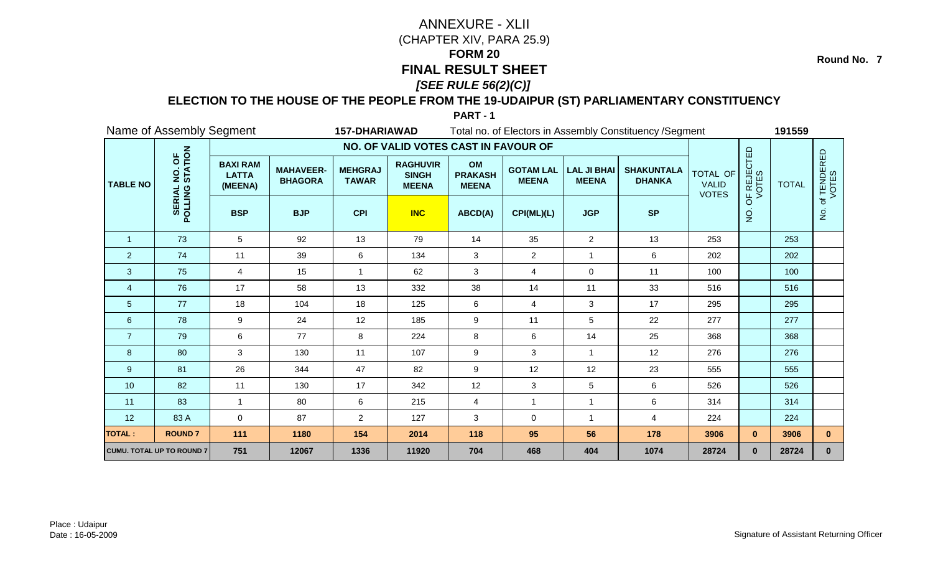**Round No. 7**

### **ELECTION TO THE HOUSE OF THE PEOPLE FROM THE 19-UDAIPUR (ST) PARLIAMENTARY CONSTITUENCY**

|                 | Name of Assembly Segment         |                                            |                                    | <b>157-DHARIAWAD</b>           |                                                 |                                      |                                  |                                    | Total no. of Electors in Assembly Constituency / Segment |                                          |                      | 191559       |                      |
|-----------------|----------------------------------|--------------------------------------------|------------------------------------|--------------------------------|-------------------------------------------------|--------------------------------------|----------------------------------|------------------------------------|----------------------------------------------------------|------------------------------------------|----------------------|--------------|----------------------|
|                 |                                  |                                            |                                    |                                | NO. OF VALID VOTES CAST IN FAVOUR OF            |                                      |                                  |                                    |                                                          |                                          |                      |              |                      |
| <b>TABLE NO</b> | NO. OF<br>STATION                | <b>BAXI RAM</b><br><b>LATTA</b><br>(MEENA) | <b>MAHAVEER-</b><br><b>BHAGORA</b> | <b>MEHGRAJ</b><br><b>TAWAR</b> | <b>RAGHUVIR</b><br><b>SINGH</b><br><b>MEENA</b> | OM<br><b>PRAKASH</b><br><b>MEENA</b> | <b>GOTAM LAL</b><br><b>MEENA</b> | <b>LAL JI BHAI</b><br><b>MEENA</b> | <b>SHAKUNTALA</b><br><b>DHANKA</b>                       | TOTAL OF<br><b>VALID</b><br><b>VOTES</b> | OF REJECTED<br>VOTES | <b>TOTAL</b> | of TENDERED<br>VOTES |
|                 | POLLING                          | <b>BSP</b>                                 | <b>BJP</b>                         | <b>CPI</b>                     | <b>INC</b>                                      | ABCD(A)                              | CPI(ML)(L)                       | <b>JGP</b>                         | <b>SP</b>                                                |                                          | $\overline{5}$       |              | $\frac{9}{2}$        |
| $\overline{1}$  | 73                               | $5\overline{)}$                            | 92                                 | 13                             | 79                                              | 14                                   | 35                               | $\overline{2}$                     | 13                                                       | 253                                      |                      | 253          |                      |
| $\overline{2}$  | 74                               | 11                                         | 39                                 | 6                              | 134                                             | $\mathbf{3}$                         | $\overline{2}$                   | 1                                  | 6                                                        | 202                                      |                      | 202          |                      |
| 3               | 75                               | 4                                          | 15                                 | 1                              | 62                                              | 3                                    | 4                                | $\mathbf 0$                        | 11                                                       | 100                                      |                      | 100          |                      |
| $\overline{4}$  | 76                               | 17                                         | 58                                 | 13                             | 332                                             | 38                                   | 14                               | 11                                 | 33                                                       | 516                                      |                      | 516          |                      |
| $\overline{5}$  | 77                               | 18                                         | 104                                | 18                             | 125                                             | $\,6\,$                              | 4                                | 3                                  | 17                                                       | 295                                      |                      | 295          |                      |
| 6               | 78                               | 9                                          | 24                                 | 12                             | 185                                             | 9                                    | 11                               | 5                                  | 22                                                       | 277                                      |                      | 277          |                      |
| $\overline{7}$  | 79                               | 6                                          | 77                                 | 8                              | 224                                             | $\,8\,$                              | 6                                | 14                                 | 25                                                       | 368                                      |                      | 368          |                      |
| 8               | 80                               | 3                                          | 130                                | 11                             | 107                                             | $9\,$                                | 3                                | 1                                  | 12                                                       | 276                                      |                      | 276          |                      |
| 9               | 81                               | 26                                         | 344                                | 47                             | 82                                              | $\boldsymbol{9}$                     | 12                               | 12                                 | 23                                                       | 555                                      |                      | 555          |                      |
| 10              | 82                               | 11                                         | 130                                | 17                             | 342                                             | 12                                   | 3                                | 5                                  | 6                                                        | 526                                      |                      | 526          |                      |
| 11              | 83                               | $\blacktriangleleft$                       | 80                                 | 6                              | 215                                             | 4                                    | $\overline{1}$                   | 1                                  | 6                                                        | 314                                      |                      | 314          |                      |
| 12              | 83 A                             | $\mathbf 0$                                | 87                                 | $\overline{2}$                 | 127                                             | 3                                    | 0                                | $\mathbf{1}$                       | 4                                                        | 224                                      |                      | 224          |                      |
| <b>TOTAL:</b>   | <b>ROUND7</b>                    | 111                                        | 1180                               | 154                            | 2014                                            | 118                                  | 95                               | 56                                 | 178                                                      | 3906                                     | $\mathbf{0}$         | 3906         | $\mathbf{0}$         |
|                 | <b>CUMU. TOTAL UP TO ROUND 7</b> | 751                                        | 12067                              | 1336                           | 11920                                           | 704                                  | 468                              | 404                                | 1074                                                     | 28724                                    | $\mathbf{0}$         | 28724        | $\mathbf{0}$         |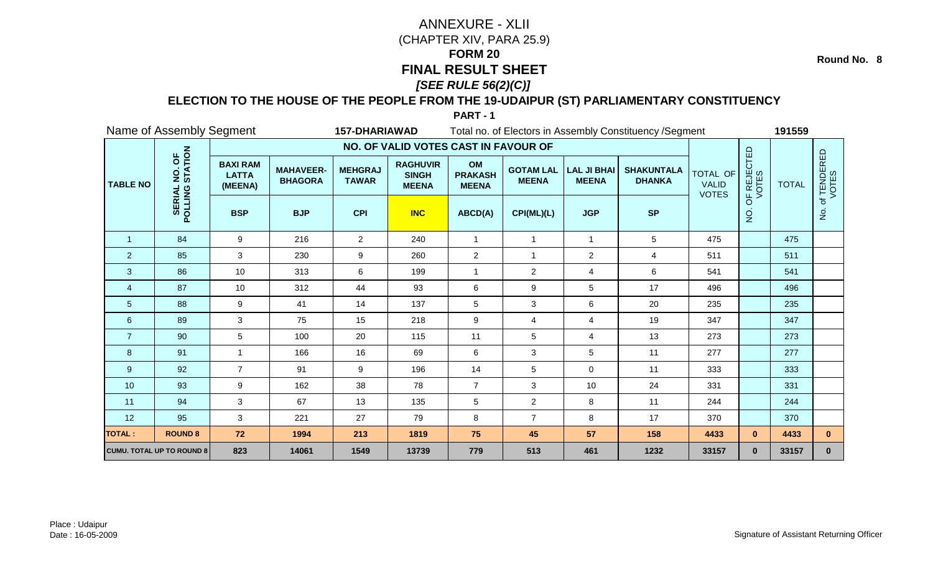**Round No. 8**

### **ELECTION TO THE HOUSE OF THE PEOPLE FROM THE 19-UDAIPUR (ST) PARLIAMENTARY CONSTITUENCY**

|                 | Name of Assembly Segment         |                                            |                                    | <b>157-DHARIAWAD</b>           |                                                 |                                      |                                  |                                    | Total no. of Electors in Assembly Constituency / Segment |                                                 |                      | 191559       |                      |
|-----------------|----------------------------------|--------------------------------------------|------------------------------------|--------------------------------|-------------------------------------------------|--------------------------------------|----------------------------------|------------------------------------|----------------------------------------------------------|-------------------------------------------------|----------------------|--------------|----------------------|
|                 |                                  |                                            |                                    |                                | NO. OF VALID VOTES CAST IN FAVOUR OF            |                                      |                                  |                                    |                                                          |                                                 |                      |              |                      |
| <b>TABLE NO</b> | NO. OF<br>STATION                | <b>BAXI RAM</b><br><b>LATTA</b><br>(MEENA) | <b>MAHAVEER-</b><br><b>BHAGORA</b> | <b>MEHGRAJ</b><br><b>TAWAR</b> | <b>RAGHUVIR</b><br><b>SINGH</b><br><b>MEENA</b> | OM<br><b>PRAKASH</b><br><b>MEENA</b> | <b>GOTAM LAL</b><br><b>MEENA</b> | <b>LAL JI BHAI</b><br><b>MEENA</b> | <b>SHAKUNTALA</b><br><b>DHANKA</b>                       | <b>TOTAL OF</b><br><b>VALID</b><br><b>VOTES</b> | OF REJECTED<br>VOTES | <b>TOTAL</b> | of TENDERED<br>VOTES |
|                 | POLLING                          | <b>BSP</b>                                 | <b>BJP</b>                         | <b>CPI</b>                     | <b>INC</b>                                      | ABCD(A)                              | CPI(ML)(L)                       | <b>JGP</b>                         | <b>SP</b>                                                |                                                 | $\overline{Q}$       |              | $\dot{z}$            |
| $\mathbf{1}$    | 84                               | 9                                          | 216                                | $\overline{2}$                 | 240                                             | $\mathbf{1}$                         | $\overline{1}$                   | $\mathbf{1}$                       | $5\phantom{.0}$                                          | 475                                             |                      | 475          |                      |
| $\overline{2}$  | 85                               | 3                                          | 230                                | 9                              | 260                                             | $\overline{2}$                       | 1                                | $\overline{c}$                     | 4                                                        | 511                                             |                      | 511          |                      |
| $\mathbf{3}$    | 86                               | 10                                         | 313                                | 6                              | 199                                             | $\overline{1}$                       | $\overline{2}$                   | $\overline{4}$                     | 6                                                        | 541                                             |                      | 541          |                      |
| $\overline{4}$  | 87                               | 10                                         | 312                                | 44                             | 93                                              | 6                                    | 9                                | 5                                  | 17                                                       | 496                                             |                      | 496          |                      |
| $\overline{5}$  | 88                               | 9                                          | 41                                 | 14                             | 137                                             | 5                                    | 3                                | 6                                  | 20                                                       | 235                                             |                      | 235          |                      |
| $6\phantom{1}6$ | 89                               | 3                                          | 75                                 | 15                             | 218                                             | $\boldsymbol{9}$                     | 4                                | 4                                  | 19                                                       | 347                                             |                      | 347          |                      |
| $\overline{7}$  | 90                               | 5                                          | 100                                | 20                             | 115                                             | 11                                   | 5                                | 4                                  | 13                                                       | 273                                             |                      | 273          |                      |
| 8               | 91                               |                                            | 166                                | 16                             | 69                                              | 6                                    | 3                                | 5                                  | 11                                                       | 277                                             |                      | 277          |                      |
| 9               | 92                               | $\overline{7}$                             | 91                                 | 9                              | 196                                             | 14                                   | 5                                | 0                                  | 11                                                       | 333                                             |                      | 333          |                      |
| 10              | 93                               | 9                                          | 162                                | 38                             | 78                                              | $\overline{7}$                       | 3                                | 10                                 | 24                                                       | 331                                             |                      | 331          |                      |
| 11              | 94                               | 3                                          | 67                                 | 13                             | 135                                             | $5\phantom{.0}$                      | $\overline{2}$                   | 8                                  | 11                                                       | 244                                             |                      | 244          |                      |
| 12              | 95                               | 3                                          | 221                                | 27                             | 79                                              | 8                                    | $\overline{7}$                   | 8                                  | 17                                                       | 370                                             |                      | 370          |                      |
| <b>TOTAL:</b>   | <b>ROUND 8</b>                   | 72                                         | 1994                               | 213                            | 1819                                            | 75                                   | 45                               | 57                                 | 158                                                      | 4433                                            | $\mathbf{0}$         | 4433         | $\mathbf{0}$         |
|                 | <b>CUMU. TOTAL UP TO ROUND 8</b> | 823                                        | 14061                              | 1549                           | 13739                                           | 779                                  | 513                              | 461                                | 1232                                                     | 33157                                           | $\mathbf{0}$         | 33157        | $\mathbf 0$          |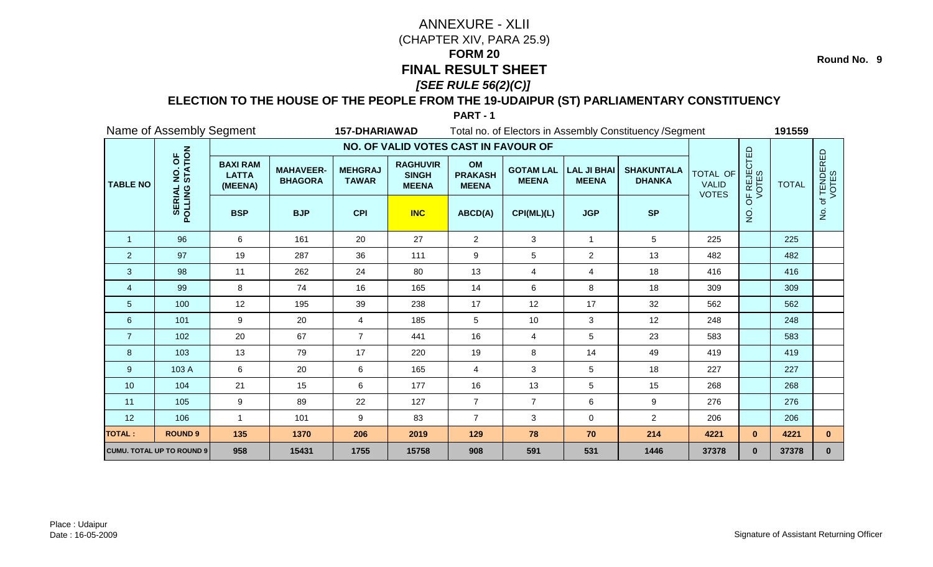**Round No. 9**

### **ELECTION TO THE HOUSE OF THE PEOPLE FROM THE 19-UDAIPUR (ST) PARLIAMENTARY CONSTITUENCY**

|                 | Name of Assembly Segment         |                                            |                                    | <b>157-DHARIAWAD</b>           |                                                 |                                      |                                  |                                    | Total no. of Electors in Assembly Constituency / Segment |                                                 |                      | 191559       |                      |
|-----------------|----------------------------------|--------------------------------------------|------------------------------------|--------------------------------|-------------------------------------------------|--------------------------------------|----------------------------------|------------------------------------|----------------------------------------------------------|-------------------------------------------------|----------------------|--------------|----------------------|
|                 |                                  |                                            |                                    |                                | NO. OF VALID VOTES CAST IN FAVOUR OF            |                                      |                                  |                                    |                                                          |                                                 |                      |              |                      |
| <b>TABLE NO</b> | NO. OF<br>STATION                | <b>BAXI RAM</b><br><b>LATTA</b><br>(MEENA) | <b>MAHAVEER-</b><br><b>BHAGORA</b> | <b>MEHGRAJ</b><br><b>TAWAR</b> | <b>RAGHUVIR</b><br><b>SINGH</b><br><b>MEENA</b> | OM<br><b>PRAKASH</b><br><b>MEENA</b> | <b>GOTAM LAL</b><br><b>MEENA</b> | <b>LAL JI BHAI</b><br><b>MEENA</b> | <b>SHAKUNTALA</b><br><b>DHANKA</b>                       | <b>TOTAL OF</b><br><b>VALID</b><br><b>VOTES</b> | OF REJECTED<br>VOTES | <b>TOTAL</b> | of TENDERED<br>VOTES |
|                 | <b>POLLING</b><br><b>SERIAI</b>  | <b>BSP</b>                                 | <b>BJP</b>                         | <b>CPI</b>                     | <b>INC</b>                                      | ABCD(A)                              | CPI(ML)(L)                       | <b>JGP</b>                         | <b>SP</b>                                                |                                                 | $\frac{1}{2}$        |              | $\dot{z}$            |
| $\mathbf{1}$    | 96                               | 6                                          | 161                                | 20                             | 27                                              | $\overline{2}$                       | 3                                | $\mathbf{1}$                       | $5\phantom{.0}$                                          | 225                                             |                      | 225          |                      |
| $\overline{2}$  | 97                               | 19                                         | 287                                | 36                             | 111                                             | $\boldsymbol{9}$                     | 5                                | $\overline{a}$                     | 13                                                       | 482                                             |                      | 482          |                      |
| 3               | 98                               | 11                                         | 262                                | 24                             | 80                                              | 13                                   | 4                                | 4                                  | 18                                                       | 416                                             |                      | 416          |                      |
| $\overline{4}$  | 99                               | 8                                          | 74                                 | 16                             | 165                                             | 14                                   | 6                                | 8                                  | 18                                                       | 309                                             |                      | 309          |                      |
| 5               | 100                              | 12                                         | 195                                | 39                             | 238                                             | 17                                   | 12                               | 17                                 | 32                                                       | 562                                             |                      | 562          |                      |
| 6               | 101                              | 9                                          | 20                                 | 4                              | 185                                             | $5\phantom{.0}$                      | 10                               | 3                                  | 12                                                       | 248                                             |                      | 248          |                      |
| $\overline{7}$  | 102                              | 20                                         | 67                                 | $\overline{7}$                 | 441                                             | 16                                   | 4                                | 5                                  | 23                                                       | 583                                             |                      | 583          |                      |
| 8               | 103                              | 13                                         | 79                                 | 17                             | 220                                             | 19                                   | 8                                | 14                                 | 49                                                       | 419                                             |                      | 419          |                      |
| 9               | 103 A                            | 6                                          | 20                                 | 6                              | 165                                             | $\overline{4}$                       | 3                                | 5                                  | 18                                                       | 227                                             |                      | 227          |                      |
| 10              | 104                              | 21                                         | 15                                 | 6                              | 177                                             | 16                                   | 13                               | 5                                  | 15                                                       | 268                                             |                      | 268          |                      |
| 11              | 105                              | 9                                          | 89                                 | 22                             | 127                                             | $\overline{7}$                       | $\overline{7}$                   | 6                                  | $\boldsymbol{9}$                                         | 276                                             |                      | 276          |                      |
| 12              | 106                              | 1                                          | 101                                | 9                              | 83                                              | $\overline{7}$                       | 3                                | 0                                  | $\overline{2}$                                           | 206                                             |                      | 206          |                      |
| <b>TOTAL:</b>   | <b>ROUND 9</b>                   | 135                                        | 1370                               | 206                            | 2019                                            | 129                                  | 78                               | 70                                 | 214                                                      | 4221                                            | $\mathbf{0}$         | 4221         | $\mathbf{0}$         |
|                 | <b>CUMU. TOTAL UP TO ROUND 9</b> | 958                                        | 15431                              | 1755                           | 15758                                           | 908                                  | 591                              | 531                                | 1446                                                     | 37378                                           | $\mathbf{0}$         | 37378        | $\mathbf 0$          |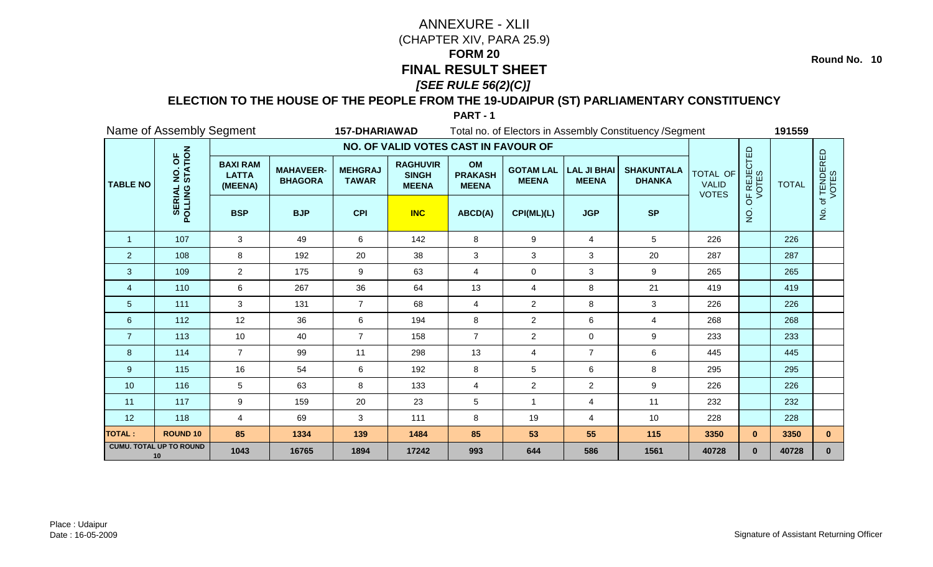**Round No. 10**

### **ELECTION TO THE HOUSE OF THE PEOPLE FROM THE 19-UDAIPUR (ST) PARLIAMENTARY CONSTITUENCY**

|                 | Name of Assembly Segment             |                                            |                                    | <b>157-DHARIAWAD</b>           |                                                 |                                      |                                  |                                    | Total no. of Electors in Assembly Constituency / Segment |                                                 |                      | 191559       |                      |
|-----------------|--------------------------------------|--------------------------------------------|------------------------------------|--------------------------------|-------------------------------------------------|--------------------------------------|----------------------------------|------------------------------------|----------------------------------------------------------|-------------------------------------------------|----------------------|--------------|----------------------|
|                 |                                      |                                            |                                    |                                | NO. OF VALID VOTES CAST IN FAVOUR OF            |                                      |                                  |                                    |                                                          |                                                 |                      |              |                      |
| <b>TABLE NO</b> | NO. OF<br>STATION                    | <b>BAXI RAM</b><br><b>LATTA</b><br>(MEENA) | <b>MAHAVEER-</b><br><b>BHAGORA</b> | <b>MEHGRAJ</b><br><b>TAWAR</b> | <b>RAGHUVIR</b><br><b>SINGH</b><br><b>MEENA</b> | OM<br><b>PRAKASH</b><br><b>MEENA</b> | <b>GOTAM LAL</b><br><b>MEENA</b> | <b>LAL JI BHAI</b><br><b>MEENA</b> | <b>SHAKUNTALA</b><br><b>DHANKA</b>                       | <b>TOTAL OF</b><br><b>VALID</b><br><b>VOTES</b> | OF REJECTED<br>VOTES | <b>TOTAL</b> | of TENDERED<br>VOTES |
|                 | POLLING                              | <b>BSP</b>                                 | <b>BJP</b>                         | <b>CPI</b>                     | <b>INC</b>                                      | ABCD(A)                              | CPI(ML)(L)                       | <b>JGP</b>                         | <b>SP</b>                                                |                                                 | $\overline{5}$       |              | $\dot{z}$            |
| $\overline{1}$  | 107                                  | 3                                          | 49                                 | 6                              | 142                                             | 8                                    | 9                                | 4                                  | $5\phantom{.0}$                                          | 226                                             |                      | 226          |                      |
| $\overline{2}$  | 108                                  | 8                                          | 192                                | 20                             | 38                                              | 3                                    | 3                                | 3                                  | 20                                                       | 287                                             |                      | 287          |                      |
| $\mathbf{3}$    | 109                                  | $\overline{2}$                             | 175                                | 9                              | 63                                              | $\overline{4}$                       | $\pmb{0}$                        | 3                                  | $\boldsymbol{9}$                                         | 265                                             |                      | 265          |                      |
| 4               | 110                                  | 6                                          | 267                                | 36                             | 64                                              | 13                                   | 4                                | 8                                  | 21                                                       | 419                                             |                      | 419          |                      |
| 5               | 111                                  | 3                                          | 131                                | $\overline{7}$                 | 68                                              | $\overline{4}$                       | $\overline{2}$                   | 8                                  | 3                                                        | 226                                             |                      | 226          |                      |
| 6               | 112                                  | 12                                         | 36                                 | 6                              | 194                                             | 8                                    | $\overline{2}$                   | 6                                  | 4                                                        | 268                                             |                      | 268          |                      |
| $\overline{7}$  | 113                                  | 10                                         | 40                                 | $\overline{7}$                 | 158                                             | $\overline{7}$                       | $\overline{2}$                   | 0                                  | $\boldsymbol{9}$                                         | 233                                             |                      | 233          |                      |
| 8               | 114                                  | $\overline{7}$                             | 99                                 | 11                             | 298                                             | 13                                   | 4                                | $\overline{7}$                     | 6                                                        | 445                                             |                      | 445          |                      |
| 9               | 115                                  | 16                                         | 54                                 | 6                              | 192                                             | 8                                    | 5                                | 6                                  | 8                                                        | 295                                             |                      | 295          |                      |
| 10              | 116                                  | 5                                          | 63                                 | 8                              | 133                                             | $\overline{4}$                       | $\overline{2}$                   | $\overline{a}$                     | 9                                                        | 226                                             |                      | 226          |                      |
| 11              | 117                                  | 9                                          | 159                                | 20                             | 23                                              | $5\phantom{.0}$                      | $\overline{1}$                   | $\overline{4}$                     | 11                                                       | 232                                             |                      | 232          |                      |
| 12              | 118                                  | 4                                          | 69                                 | 3                              | 111                                             | 8                                    | 19                               | 4                                  | 10                                                       | 228                                             |                      | 228          |                      |
| <b>TOTAL:</b>   | <b>ROUND 10</b>                      | 85                                         | 1334                               | 139                            | 1484                                            | 85                                   | 53                               | 55                                 | 115                                                      | 3350                                            | $\mathbf{0}$         | 3350         | $\mathbf{0}$         |
|                 | <b>CUMU. TOTAL UP TO ROUND</b><br>10 | 1043                                       | 16765                              | 1894                           | 17242                                           | 993                                  | 644                              | 586                                | 1561                                                     | 40728                                           | $\mathbf{0}$         | 40728        | $\mathbf 0$          |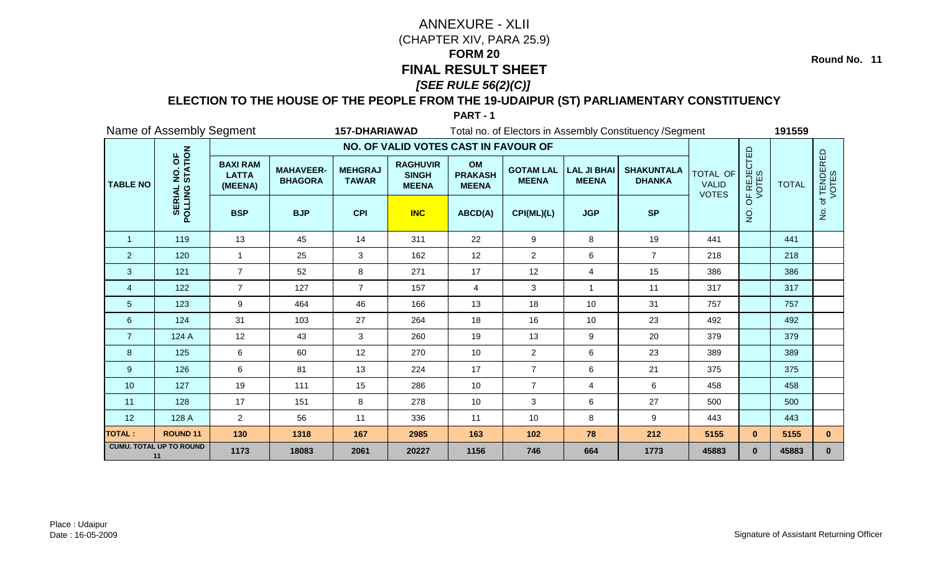**Round No. 11**

### **ELECTION TO THE HOUSE OF THE PEOPLE FROM THE 19-UDAIPUR (ST) PARLIAMENTARY CONSTITUENCY**

|                 | Name of Assembly Segment             |                                            |                                    | <b>157-DHARIAWAD</b>           |                                                 |                                      |                                  |                                    | Total no. of Electors in Assembly Constituency / Segment |                                                 |                      | 191559       |                      |
|-----------------|--------------------------------------|--------------------------------------------|------------------------------------|--------------------------------|-------------------------------------------------|--------------------------------------|----------------------------------|------------------------------------|----------------------------------------------------------|-------------------------------------------------|----------------------|--------------|----------------------|
|                 |                                      |                                            |                                    |                                | NO. OF VALID VOTES CAST IN FAVOUR OF            |                                      |                                  |                                    |                                                          |                                                 |                      |              |                      |
| <b>TABLE NO</b> | NO. OF<br>STATION                    | <b>BAXI RAM</b><br><b>LATTA</b><br>(MEENA) | <b>MAHAVEER-</b><br><b>BHAGORA</b> | <b>MEHGRAJ</b><br><b>TAWAR</b> | <b>RAGHUVIR</b><br><b>SINGH</b><br><b>MEENA</b> | OM<br><b>PRAKASH</b><br><b>MEENA</b> | <b>GOTAM LAL</b><br><b>MEENA</b> | <b>LAL JI BHAI</b><br><b>MEENA</b> | <b>SHAKUNTALA</b><br><b>DHANKA</b>                       | <b>TOTAL OF</b><br><b>VALID</b><br><b>VOTES</b> | OF REJECTED<br>VOTES | <b>TOTAL</b> | of TENDERED<br>VOTES |
|                 | <b>POLLING</b><br><b>SERIA</b>       | <b>BSP</b>                                 | <b>BJP</b>                         | <b>CPI</b>                     | <b>INC</b>                                      | ABCD(A)                              | CPI(ML)(L)                       | <b>JGP</b>                         | <b>SP</b>                                                |                                                 | $\overline{2}$       |              | $\dot{z}$            |
| $\mathbf{1}$    | 119                                  | 13                                         | 45                                 | 14                             | 311                                             | 22                                   | 9                                | 8                                  | 19                                                       | 441                                             |                      | 441          |                      |
| $\overline{2}$  | 120                                  | 1                                          | 25                                 | 3                              | 162                                             | 12                                   | $\overline{c}$                   | 6                                  | $\overline{7}$                                           | 218                                             |                      | 218          |                      |
| $\mathbf{3}$    | 121                                  | $\overline{7}$                             | 52                                 | 8                              | 271                                             | 17                                   | 12                               | $\overline{4}$                     | 15                                                       | 386                                             |                      | 386          |                      |
| 4               | 122                                  | $\overline{7}$                             | 127                                | $\overline{7}$                 | 157                                             | $\overline{4}$                       | 3                                | $\mathbf{1}$                       | 11                                                       | 317                                             |                      | 317          |                      |
| 5               | 123                                  | 9                                          | 464                                | 46                             | 166                                             | 13                                   | 18                               | 10                                 | 31                                                       | 757                                             |                      | 757          |                      |
| 6               | 124                                  | 31                                         | 103                                | 27                             | 264                                             | 18                                   | 16                               | 10                                 | 23                                                       | 492                                             |                      | 492          |                      |
| $\overline{7}$  | 124 A                                | 12                                         | 43                                 | 3                              | 260                                             | 19                                   | 13                               | 9                                  | 20                                                       | 379                                             |                      | 379          |                      |
| 8               | 125                                  | 6                                          | 60                                 | 12                             | 270                                             | 10                                   | $\overline{c}$                   | 6                                  | 23                                                       | 389                                             |                      | 389          |                      |
| $9\,$           | 126                                  | 6                                          | 81                                 | 13                             | 224                                             | 17                                   | $\overline{7}$                   | 6                                  | 21                                                       | 375                                             |                      | 375          |                      |
| 10              | 127                                  | 19                                         | 111                                | 15                             | 286                                             | 10                                   | $\overline{7}$                   | $\overline{4}$                     | 6                                                        | 458                                             |                      | 458          |                      |
| 11              | 128                                  | 17                                         | 151                                | 8                              | 278                                             | 10                                   | 3                                | 6                                  | 27                                                       | 500                                             |                      | 500          |                      |
| 12              | 128 A                                | $\overline{2}$                             | 56                                 | 11                             | 336                                             | 11                                   | 10                               | 8                                  | 9                                                        | 443                                             |                      | 443          |                      |
| <b>TOTAL:</b>   | <b>ROUND 11</b>                      | 130                                        | 1318                               | 167                            | 2985                                            | 163                                  | 102                              | 78                                 | 212                                                      | 5155                                            | $\mathbf{0}$         | 5155         | $\mathbf{0}$         |
|                 | <b>CUMU. TOTAL UP TO ROUND</b><br>11 | 1173                                       | 18083                              | 2061                           | 20227                                           | 1156                                 | 746                              | 664                                | 1773                                                     | 45883                                           | $\mathbf{0}$         | 45883        | $\mathbf{0}$         |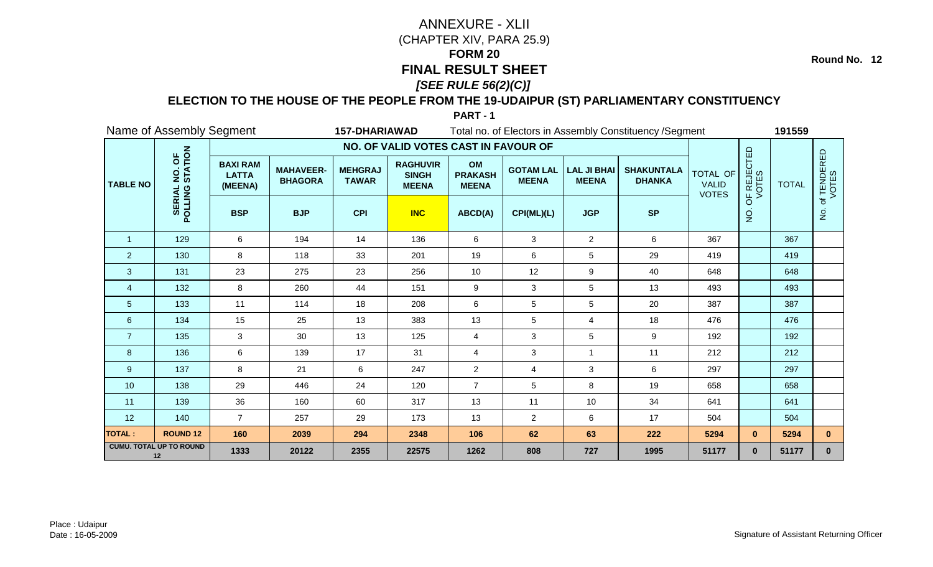**Round No. 12**

### **ELECTION TO THE HOUSE OF THE PEOPLE FROM THE 19-UDAIPUR (ST) PARLIAMENTARY CONSTITUENCY**

|                 | Name of Assembly Segment             |                                            |                                    | <b>157-DHARIAWAD</b>           |                                                 |                                      |                                  |                                    | Total no. of Electors in Assembly Constituency / Segment |                                                 |                      | 191559       |                      |
|-----------------|--------------------------------------|--------------------------------------------|------------------------------------|--------------------------------|-------------------------------------------------|--------------------------------------|----------------------------------|------------------------------------|----------------------------------------------------------|-------------------------------------------------|----------------------|--------------|----------------------|
|                 |                                      |                                            |                                    |                                | NO. OF VALID VOTES CAST IN FAVOUR OF            |                                      |                                  |                                    |                                                          |                                                 |                      |              |                      |
| <b>TABLE NO</b> | NO. OF<br>STATION                    | <b>BAXI RAM</b><br><b>LATTA</b><br>(MEENA) | <b>MAHAVEER-</b><br><b>BHAGORA</b> | <b>MEHGRAJ</b><br><b>TAWAR</b> | <b>RAGHUVIR</b><br><b>SINGH</b><br><b>MEENA</b> | OM<br><b>PRAKASH</b><br><b>MEENA</b> | <b>GOTAM LAL</b><br><b>MEENA</b> | <b>LAL JI BHAI</b><br><b>MEENA</b> | <b>SHAKUNTALA</b><br><b>DHANKA</b>                       | <b>TOTAL OF</b><br><b>VALID</b><br><b>VOTES</b> | OF REJECTED<br>VOTES | <b>TOTAL</b> | of TENDERED<br>VOTES |
|                 | <b>POLLING</b><br><b>SERIA</b>       | <b>BSP</b>                                 | <b>BJP</b>                         | <b>CPI</b>                     | <b>INC</b>                                      | ABCD(A)                              | CPI(ML)(L)                       | <b>JGP</b>                         | <b>SP</b>                                                |                                                 | $\overline{2}$       |              | $\dot{z}$            |
| $\mathbf{1}$    | 129                                  | 6                                          | 194                                | 14                             | 136                                             | 6                                    | 3                                | $\overline{2}$                     | 6                                                        | 367                                             |                      | 367          |                      |
| $\overline{2}$  | 130                                  | 8                                          | 118                                | 33                             | 201                                             | 19                                   | 6                                | 5                                  | 29                                                       | 419                                             |                      | 419          |                      |
| $\mathbf{3}$    | 131                                  | 23                                         | 275                                | 23                             | 256                                             | 10                                   | 12                               | 9                                  | 40                                                       | 648                                             |                      | 648          |                      |
| 4               | 132                                  | 8                                          | 260                                | 44                             | 151                                             | 9                                    | $\mathbf{3}$                     | 5                                  | 13                                                       | 493                                             |                      | 493          |                      |
| 5               | 133                                  | 11                                         | 114                                | 18                             | 208                                             | 6                                    | 5                                | 5                                  | 20                                                       | 387                                             |                      | 387          |                      |
| 6               | 134                                  | 15                                         | 25                                 | 13                             | 383                                             | 13                                   | 5                                | 4                                  | 18                                                       | 476                                             |                      | 476          |                      |
| $\overline{7}$  | 135                                  | 3                                          | 30                                 | 13                             | 125                                             | $\overline{4}$                       | 3                                | 5                                  | 9                                                        | 192                                             |                      | 192          |                      |
| 8               | 136                                  | 6                                          | 139                                | 17                             | 31                                              | 4                                    | 3                                | $\mathbf{1}$                       | 11                                                       | 212                                             |                      | 212          |                      |
| 9               | 137                                  | 8                                          | 21                                 | 6                              | 247                                             | $\overline{2}$                       | 4                                | 3                                  | 6                                                        | 297                                             |                      | 297          |                      |
| 10              | 138                                  | 29                                         | 446                                | 24                             | 120                                             | $\overline{7}$                       | 5                                | 8                                  | 19                                                       | 658                                             |                      | 658          |                      |
| 11              | 139                                  | 36                                         | 160                                | 60                             | 317                                             | 13                                   | 11                               | 10                                 | 34                                                       | 641                                             |                      | 641          |                      |
| 12              | 140                                  | $\overline{7}$                             | 257                                | 29                             | 173                                             | 13                                   | $\overline{c}$                   | 6                                  | 17                                                       | 504                                             |                      | 504          |                      |
| <b>TOTAL:</b>   | <b>ROUND 12</b>                      | 160                                        | 2039                               | 294                            | 2348                                            | 106                                  | 62                               | 63                                 | 222                                                      | 5294                                            | $\mathbf{0}$         | 5294         | $\mathbf{0}$         |
|                 | <b>CUMU. TOTAL UP TO ROUND</b><br>12 | 1333                                       | 20122                              | 2355                           | 22575                                           | 1262                                 | 808                              | 727                                | 1995                                                     | 51177                                           | $\mathbf{0}$         | 51177        | $\mathbf{0}$         |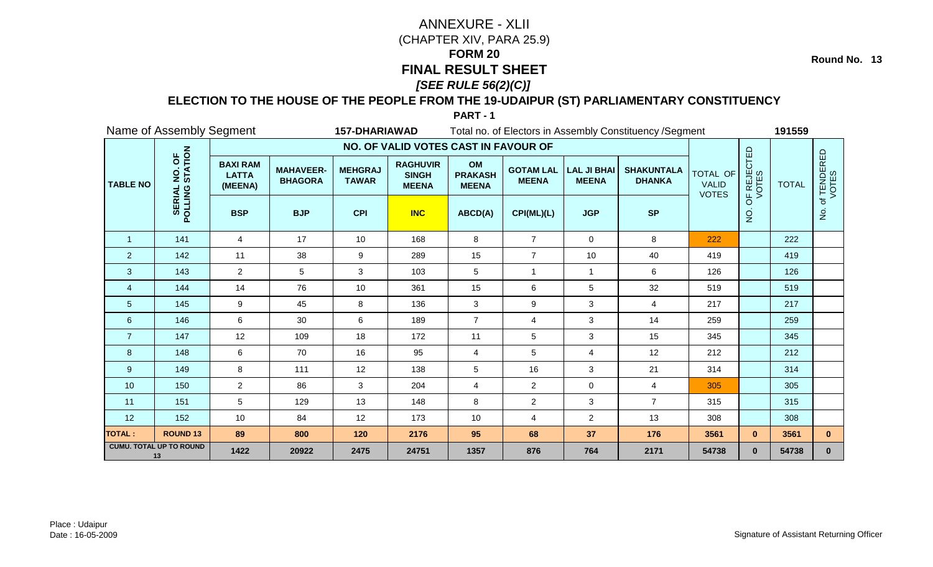**Round No. 13**

#### **ELECTION TO THE HOUSE OF THE PEOPLE FROM THE 19-UDAIPUR (ST) PARLIAMENTARY CONSTITUENCY**

| Name of Assembly Segment<br><b>157-DHARIAWAD</b> |                                      |                                            |                                    |                                |                                                 | Total no. of Electors in Assembly Constituency / Segment |                                  |                                    |                                    |                                                 |                      | 191559       |                      |  |
|--------------------------------------------------|--------------------------------------|--------------------------------------------|------------------------------------|--------------------------------|-------------------------------------------------|----------------------------------------------------------|----------------------------------|------------------------------------|------------------------------------|-------------------------------------------------|----------------------|--------------|----------------------|--|
|                                                  |                                      |                                            |                                    |                                | NO. OF VALID VOTES CAST IN FAVOUR OF            |                                                          |                                  |                                    |                                    |                                                 |                      |              |                      |  |
| <b>TABLE NO</b>                                  | NO. OF<br>STATION                    | <b>BAXI RAM</b><br><b>LATTA</b><br>(MEENA) | <b>MAHAVEER-</b><br><b>BHAGORA</b> | <b>MEHGRAJ</b><br><b>TAWAR</b> | <b>RAGHUVIR</b><br><b>SINGH</b><br><b>MEENA</b> | OM<br><b>PRAKASH</b><br><b>MEENA</b>                     | <b>GOTAM LAL</b><br><b>MEENA</b> | <b>LAL JI BHAI</b><br><b>MEENA</b> | <b>SHAKUNTALA</b><br><b>DHANKA</b> | <b>TOTAL OF</b><br><b>VALID</b><br><b>VOTES</b> | OF REJECTED<br>VOTES | <b>TOTAL</b> | of TENDERED<br>VOTES |  |
|                                                  | POLLING                              | <b>BSP</b>                                 | <b>BJP</b>                         | <b>CPI</b>                     | <b>INC</b>                                      | ABCD(A)                                                  | CPI(ML)(L)                       | <b>JGP</b>                         | <b>SP</b>                          |                                                 | $\dot{Q}$            |              | $\frac{1}{2}$        |  |
| $\mathbf{1}$                                     | 141                                  | $\overline{4}$                             | 17                                 | 10 <sup>°</sup>                | 168                                             | 8                                                        | $\overline{7}$                   | $\mathbf 0$                        | 8                                  | 222                                             |                      | 222          |                      |  |
| $\overline{2}$                                   | 142                                  | 11                                         | 38                                 | 9                              | 289                                             | 15                                                       | $\overline{7}$                   | 10                                 | 40                                 | 419                                             |                      | 419          |                      |  |
| 3                                                | 143                                  | $\overline{2}$                             | 5                                  | 3                              | 103                                             | 5                                                        | $\mathbf{1}$                     | $\mathbf{1}$                       | 6                                  | 126                                             |                      | 126          |                      |  |
| 4                                                | 144                                  | 14                                         | 76                                 | 10                             | 361                                             | 15                                                       | 6                                | 5                                  | 32                                 | 519                                             |                      | 519          |                      |  |
| 5                                                | 145                                  | 9                                          | 45                                 | 8                              | 136                                             | 3                                                        | 9                                | 3                                  | $\overline{4}$                     | 217                                             |                      | 217          |                      |  |
| $\boldsymbol{6}$                                 | 146                                  | 6                                          | 30                                 | 6                              | 189                                             | $\overline{7}$                                           | 4                                | 3                                  | 14                                 | 259                                             |                      | 259          |                      |  |
| $\overline{7}$                                   | 147                                  | 12                                         | 109                                | 18                             | 172                                             | 11                                                       | 5                                | 3                                  | 15                                 | 345                                             |                      | 345          |                      |  |
| 8                                                | 148                                  | 6                                          | 70                                 | 16                             | 95                                              | $\overline{4}$                                           | 5                                | 4                                  | 12                                 | 212                                             |                      | 212          |                      |  |
| 9                                                | 149                                  | 8                                          | 111                                | 12                             | 138                                             | $\sqrt{5}$                                               | 16                               | 3                                  | 21                                 | 314                                             |                      | 314          |                      |  |
| 10                                               | 150                                  | $\overline{2}$                             | 86                                 | 3                              | 204                                             | 4                                                        | $\overline{c}$                   | 0                                  | $\overline{4}$                     | 305                                             |                      | 305          |                      |  |
| 11                                               | 151                                  | 5                                          | 129                                | 13                             | 148                                             | 8                                                        | $\overline{c}$                   | 3                                  | $\overline{7}$                     | 315                                             |                      | 315          |                      |  |
| 12                                               | 152                                  | 10                                         | 84                                 | 12                             | 173                                             | 10                                                       | 4                                | $\overline{2}$                     | 13                                 | 308                                             |                      | 308          |                      |  |
| <b>TOTAL:</b>                                    | <b>ROUND 13</b>                      | 89                                         | 800                                | 120                            | 2176                                            | 95                                                       | 68                               | 37                                 | 176                                | 3561                                            | $\mathbf{0}$         | 3561         | $\mathbf{0}$         |  |
|                                                  | <b>CUMU. TOTAL UP TO ROUND</b><br>13 | 1422                                       | 20922                              | 2475                           | 24751                                           | 1357                                                     | 876                              | 764                                | 2171                               | 54738                                           | $\mathbf{0}$         | 54738        | $\mathbf 0$          |  |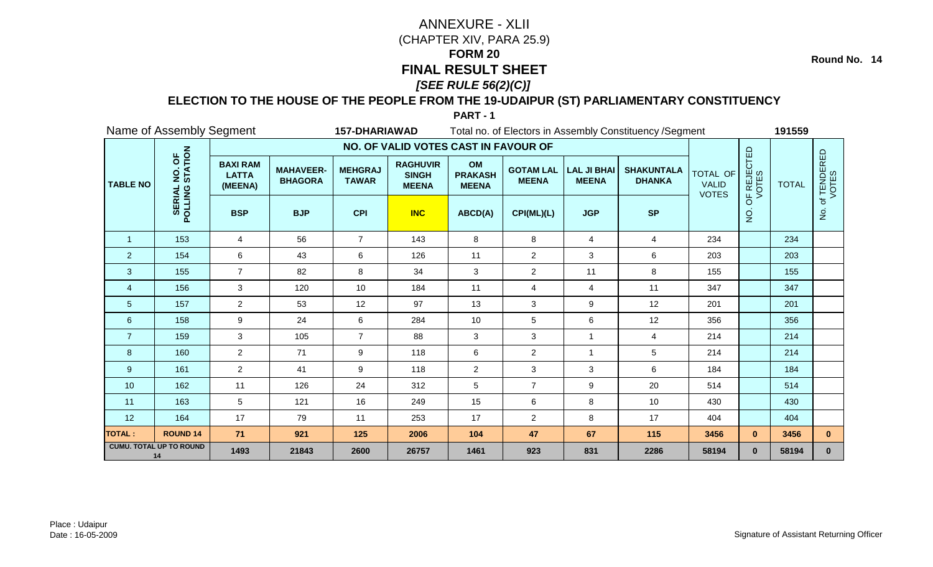**Round No. 14**

### **ELECTION TO THE HOUSE OF THE PEOPLE FROM THE 19-UDAIPUR (ST) PARLIAMENTARY CONSTITUENCY**

|                 | Name of Assembly Segment<br><b>157-DHARIAWAD</b> |                                            |                                    |                                |                                                 |                                      | Total no. of Electors in Assembly Constituency / Segment |                                    |                                    | 191559                                          |                      |              |                      |
|-----------------|--------------------------------------------------|--------------------------------------------|------------------------------------|--------------------------------|-------------------------------------------------|--------------------------------------|----------------------------------------------------------|------------------------------------|------------------------------------|-------------------------------------------------|----------------------|--------------|----------------------|
|                 |                                                  |                                            |                                    |                                | NO. OF VALID VOTES CAST IN FAVOUR OF            |                                      |                                                          |                                    |                                    |                                                 |                      |              |                      |
| <b>TABLE NO</b> | NO. OF<br>STATION                                | <b>BAXI RAM</b><br><b>LATTA</b><br>(MEENA) | <b>MAHAVEER-</b><br><b>BHAGORA</b> | <b>MEHGRAJ</b><br><b>TAWAR</b> | <b>RAGHUVIR</b><br><b>SINGH</b><br><b>MEENA</b> | OM<br><b>PRAKASH</b><br><b>MEENA</b> | <b>GOTAM LAL</b><br><b>MEENA</b>                         | <b>LAL JI BHAI</b><br><b>MEENA</b> | <b>SHAKUNTALA</b><br><b>DHANKA</b> | <b>TOTAL OF</b><br><b>VALID</b><br><b>VOTES</b> | OF REJECTED<br>VOTES | <b>TOTAL</b> | of TENDERED<br>VOTES |
|                 | POLLING                                          | <b>BSP</b>                                 | <b>BJP</b>                         | <b>CPI</b>                     | <b>INC</b>                                      | ABCD(A)                              | CPI(ML)(L)                                               | <b>JGP</b>                         | <b>SP</b>                          |                                                 | $\overline{5}$       |              | $\dot{z}$            |
| $\mathbf{1}$    | 153                                              | 4                                          | 56                                 | $\overline{7}$                 | 143                                             | 8                                    | 8                                                        | 4                                  | 4                                  | 234                                             |                      | 234          |                      |
| $\overline{2}$  | 154                                              | 6                                          | 43                                 | 6                              | 126                                             | 11                                   | $\overline{2}$                                           | 3                                  | 6                                  | 203                                             |                      | 203          |                      |
| $\mathbf{3}$    | 155                                              | $\overline{7}$                             | 82                                 | 8                              | 34                                              | $\mathbf{3}$                         | $\overline{2}$                                           | 11                                 | $\bf 8$                            | 155                                             |                      | 155          |                      |
| $\overline{4}$  | 156                                              | 3                                          | 120                                | 10                             | 184                                             | 11                                   | 4                                                        | 4                                  | 11                                 | 347                                             |                      | 347          |                      |
| 5               | 157                                              | $\overline{2}$                             | 53                                 | 12                             | 97                                              | 13                                   | 3                                                        | 9                                  | 12                                 | 201                                             |                      | 201          |                      |
| 6               | 158                                              | 9                                          | 24                                 | 6                              | 284                                             | 10                                   | 5                                                        | 6                                  | 12                                 | 356                                             |                      | 356          |                      |
| $\overline{7}$  | 159                                              | 3                                          | 105                                | $\overline{7}$                 | 88                                              | $\mathbf{3}$                         | 3                                                        | $\mathbf{1}$                       | 4                                  | 214                                             |                      | 214          |                      |
| 8               | 160                                              | $\overline{2}$                             | 71                                 | 9                              | 118                                             | 6                                    | $\overline{2}$                                           | -1                                 | $5\phantom{.0}$                    | 214                                             |                      | 214          |                      |
| 9               | 161                                              | $\overline{2}$                             | 41                                 | 9                              | 118                                             | $\overline{2}$                       | 3                                                        | 3                                  | 6                                  | 184                                             |                      | 184          |                      |
| 10              | 162                                              | 11                                         | 126                                | 24                             | 312                                             | 5                                    | $\overline{7}$                                           | 9                                  | 20                                 | 514                                             |                      | 514          |                      |
| 11              | 163                                              | 5                                          | 121                                | 16                             | 249                                             | 15                                   | 6                                                        | 8                                  | 10                                 | 430                                             |                      | 430          |                      |
| 12              | 164                                              | 17                                         | 79                                 | 11                             | 253                                             | 17                                   | $\overline{2}$                                           | 8                                  | 17                                 | 404                                             |                      | 404          |                      |
| <b>TOTAL:</b>   | <b>ROUND 14</b>                                  | 71                                         | 921                                | 125                            | 2006                                            | 104                                  | 47                                                       | 67                                 | 115                                | 3456                                            | $\mathbf{0}$         | 3456         | $\mathbf{0}$         |
|                 | <b>CUMU. TOTAL UP TO ROUND</b><br>14             | 1493                                       | 21843                              | 2600                           | 26757                                           | 1461                                 | 923                                                      | 831                                | 2286                               | 58194                                           | $\mathbf{0}$         | 58194        | $\mathbf 0$          |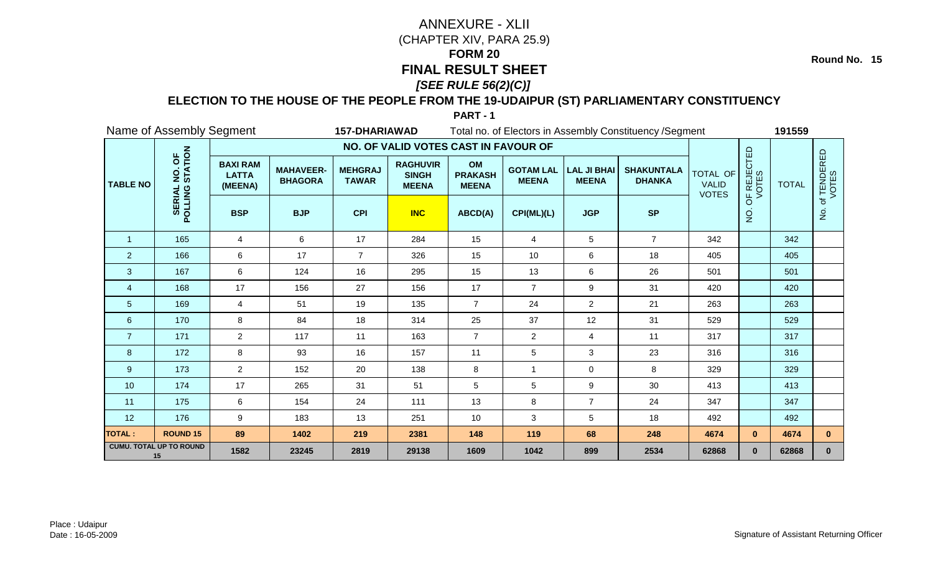**Round No. 15**

#### **ELECTION TO THE HOUSE OF THE PEOPLE FROM THE 19-UDAIPUR (ST) PARLIAMENTARY CONSTITUENCY**

| Name of Assembly Segment<br>Total no. of Electors in Assembly Constituency / Segment<br><b>157-DHARIAWAD</b> |                                      |                                            |                                    |                                |                                                 |                                      |                                  |                                    |                                    | 191559                                          |                      |              |                      |
|--------------------------------------------------------------------------------------------------------------|--------------------------------------|--------------------------------------------|------------------------------------|--------------------------------|-------------------------------------------------|--------------------------------------|----------------------------------|------------------------------------|------------------------------------|-------------------------------------------------|----------------------|--------------|----------------------|
|                                                                                                              |                                      |                                            |                                    |                                | NO. OF VALID VOTES CAST IN FAVOUR OF            |                                      |                                  |                                    |                                    |                                                 |                      |              |                      |
| <b>TABLE NO</b>                                                                                              | NO. OF<br>STATION                    | <b>BAXI RAM</b><br><b>LATTA</b><br>(MEENA) | <b>MAHAVEER-</b><br><b>BHAGORA</b> | <b>MEHGRAJ</b><br><b>TAWAR</b> | <b>RAGHUVIR</b><br><b>SINGH</b><br><b>MEENA</b> | OM<br><b>PRAKASH</b><br><b>MEENA</b> | <b>GOTAM LAL</b><br><b>MEENA</b> | <b>LAL JI BHAI</b><br><b>MEENA</b> | <b>SHAKUNTALA</b><br><b>DHANKA</b> | <b>TOTAL OF</b><br><b>VALID</b><br><b>VOTES</b> | OF REJECTED<br>VOTES | <b>TOTAL</b> | of TENDERED<br>VOTES |
|                                                                                                              | <b>POLLING</b><br><b>SERIA</b>       | <b>BSP</b>                                 | <b>BJP</b>                         | <b>CPI</b>                     | <b>INC</b>                                      | ABCD(A)                              | CPI(ML)(L)                       | <b>JGP</b>                         | <b>SP</b>                          |                                                 | $\frac{1}{2}$        |              | $\dot{z}$            |
| $\mathbf{1}$                                                                                                 | 165                                  | $\overline{4}$                             | 6                                  | 17                             | 284                                             | 15                                   | 4                                | 5                                  | $\overline{7}$                     | 342                                             |                      | 342          |                      |
| $\overline{2}$                                                                                               | 166                                  | 6                                          | 17                                 | $\overline{7}$                 | 326                                             | 15                                   | 10                               | 6                                  | 18                                 | 405                                             |                      | 405          |                      |
| $\mathbf{3}$                                                                                                 | 167                                  | 6                                          | 124                                | 16                             | 295                                             | 15                                   | 13                               | 6                                  | 26                                 | 501                                             |                      | 501          |                      |
| 4                                                                                                            | 168                                  | 17                                         | 156                                | 27                             | 156                                             | 17                                   | $\overline{7}$                   | $\boldsymbol{9}$                   | 31                                 | 420                                             |                      | 420          |                      |
| 5                                                                                                            | 169                                  | $\overline{4}$                             | 51                                 | 19                             | 135                                             | $\overline{7}$                       | 24                               | $\overline{2}$                     | 21                                 | 263                                             |                      | 263          |                      |
| 6                                                                                                            | 170                                  | 8                                          | 84                                 | 18                             | 314                                             | 25                                   | 37                               | 12                                 | 31                                 | 529                                             |                      | 529          |                      |
| $\overline{7}$                                                                                               | 171                                  | $\overline{2}$                             | 117                                | 11                             | 163                                             | $\overline{7}$                       | $\overline{2}$                   | 4                                  | 11                                 | 317                                             |                      | 317          |                      |
| 8                                                                                                            | 172                                  | $\bf 8$                                    | 93                                 | 16                             | 157                                             | 11                                   | 5                                | 3                                  | 23                                 | 316                                             |                      | 316          |                      |
| $9\,$                                                                                                        | 173                                  | $\overline{2}$                             | 152                                | 20                             | 138                                             | 8                                    | $\mathbf{1}$                     | $\mathbf 0$                        | 8                                  | 329                                             |                      | 329          |                      |
| 10                                                                                                           | 174                                  | 17                                         | 265                                | 31                             | 51                                              | 5                                    | 5                                | 9                                  | 30                                 | 413                                             |                      | 413          |                      |
| 11                                                                                                           | 175                                  | 6                                          | 154                                | 24                             | 111                                             | 13                                   | 8                                | $\overline{7}$                     | 24                                 | 347                                             |                      | 347          |                      |
| 12                                                                                                           | 176                                  | 9                                          | 183                                | 13                             | 251                                             | 10                                   | 3                                | 5                                  | 18                                 | 492                                             |                      | 492          |                      |
| <b>TOTAL:</b>                                                                                                | <b>ROUND 15</b>                      | 89                                         | 1402                               | 219                            | 2381                                            | 148                                  | 119                              | 68                                 | 248                                | 4674                                            | $\mathbf{0}$         | 4674         | $\mathbf{0}$         |
|                                                                                                              | <b>CUMU. TOTAL UP TO ROUND</b><br>15 | 1582                                       | 23245                              | 2819                           | 29138                                           | 1609                                 | 1042                             | 899                                | 2534                               | 62868                                           | $\mathbf{0}$         | 62868        | $\mathbf{0}$         |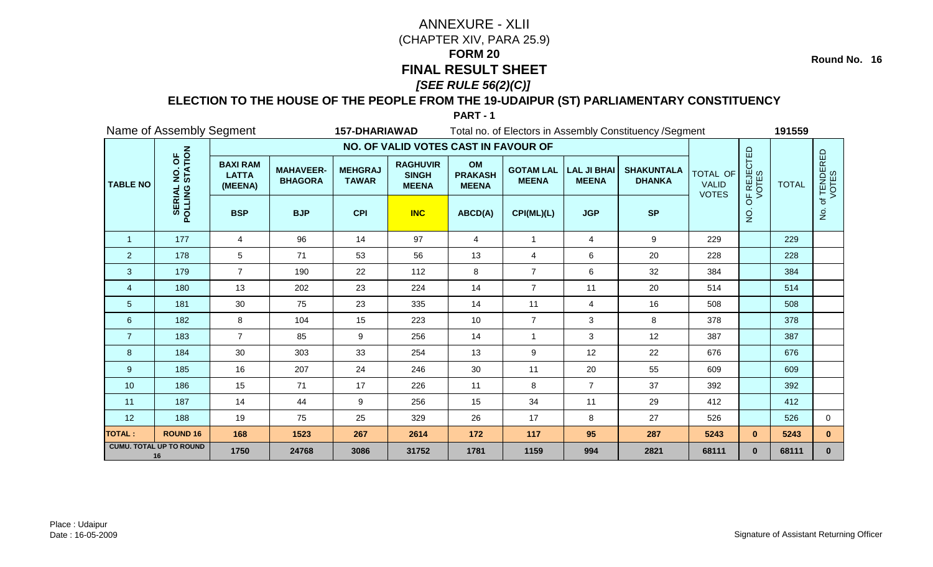**Round No. 16**

### **ELECTION TO THE HOUSE OF THE PEOPLE FROM THE 19-UDAIPUR (ST) PARLIAMENTARY CONSTITUENCY**

| Name of Assembly Segment<br><b>157-DHARIAWAD</b> |                                      |                                            |                                    |                                |                                                 |                                      | Total no. of Electors in Assembly Constituency / Segment |                                    |                                    |                                                 |                      | 191559       |                      |
|--------------------------------------------------|--------------------------------------|--------------------------------------------|------------------------------------|--------------------------------|-------------------------------------------------|--------------------------------------|----------------------------------------------------------|------------------------------------|------------------------------------|-------------------------------------------------|----------------------|--------------|----------------------|
|                                                  |                                      |                                            |                                    |                                | NO. OF VALID VOTES CAST IN FAVOUR OF            |                                      |                                                          |                                    |                                    |                                                 |                      |              |                      |
| <b>TABLE NO</b>                                  | NO. OF<br>STATION                    | <b>BAXI RAM</b><br><b>LATTA</b><br>(MEENA) | <b>MAHAVEER-</b><br><b>BHAGORA</b> | <b>MEHGRAJ</b><br><b>TAWAR</b> | <b>RAGHUVIR</b><br><b>SINGH</b><br><b>MEENA</b> | OM<br><b>PRAKASH</b><br><b>MEENA</b> | <b>GOTAM LAL</b><br><b>MEENA</b>                         | <b>LAL JI BHAI</b><br><b>MEENA</b> | <b>SHAKUNTALA</b><br><b>DHANKA</b> | <b>TOTAL OF</b><br><b>VALID</b><br><b>VOTES</b> | OF REJECTED<br>VOTES | <b>TOTAL</b> | of TENDERED<br>VOTES |
|                                                  | <b>POLLING</b><br><b>SERIA</b>       | <b>BSP</b>                                 | <b>BJP</b>                         | <b>CPI</b>                     | <b>INC</b>                                      | ABCD(A)                              | CPI(ML)(L)                                               | <b>JGP</b>                         | <b>SP</b>                          |                                                 | $\overline{2}$       |              | $\dot{z}$            |
| $\mathbf{1}$                                     | 177                                  | $\overline{4}$                             | 96                                 | 14                             | 97                                              | $\overline{4}$                       | $\overline{\mathbf{1}}$                                  | $\overline{4}$                     | 9                                  | 229                                             |                      | 229          |                      |
| $\overline{2}$                                   | 178                                  | 5                                          | 71                                 | 53                             | 56                                              | 13                                   | 4                                                        | 6                                  | 20                                 | 228                                             |                      | 228          |                      |
| $\mathbf{3}$                                     | 179                                  | $\overline{7}$                             | 190                                | 22                             | 112                                             | 8                                    | $\overline{7}$                                           | 6                                  | 32                                 | 384                                             |                      | 384          |                      |
| 4                                                | 180                                  | 13                                         | 202                                | 23                             | 224                                             | 14                                   | $\overline{7}$                                           | 11                                 | 20                                 | 514                                             |                      | 514          |                      |
| 5                                                | 181                                  | 30                                         | 75                                 | 23                             | 335                                             | 14                                   | 11                                                       | 4                                  | 16                                 | 508                                             |                      | 508          |                      |
| 6                                                | 182                                  | 8                                          | 104                                | 15                             | 223                                             | 10                                   | $\overline{7}$                                           | 3                                  | 8                                  | 378                                             |                      | 378          |                      |
| $\overline{7}$                                   | 183                                  | $\overline{7}$                             | 85                                 | 9                              | 256                                             | 14                                   | $\overline{1}$                                           | 3                                  | 12                                 | 387                                             |                      | 387          |                      |
| 8                                                | 184                                  | 30                                         | 303                                | 33                             | 254                                             | 13                                   | 9                                                        | 12                                 | 22                                 | 676                                             |                      | 676          |                      |
| 9                                                | 185                                  | 16                                         | 207                                | 24                             | 246                                             | 30                                   | 11                                                       | 20                                 | 55                                 | 609                                             |                      | 609          |                      |
| 10                                               | 186                                  | 15                                         | 71                                 | 17                             | 226                                             | 11                                   | 8                                                        | $\overline{7}$                     | 37                                 | 392                                             |                      | 392          |                      |
| 11                                               | 187                                  | 14                                         | 44                                 | 9                              | 256                                             | 15                                   | 34                                                       | 11                                 | 29                                 | 412                                             |                      | 412          |                      |
| 12                                               | 188                                  | 19                                         | 75                                 | 25                             | 329                                             | 26                                   | 17                                                       | 8                                  | 27                                 | 526                                             |                      | 526          | $\mathbf 0$          |
| <b>TOTAL:</b>                                    | <b>ROUND 16</b>                      | 168                                        | 1523                               | 267                            | 2614                                            | 172                                  | 117                                                      | 95                                 | 287                                | 5243                                            | $\mathbf{0}$         | 5243         | $\mathbf{0}$         |
|                                                  | <b>CUMU. TOTAL UP TO ROUND</b><br>16 | 1750                                       | 24768                              | 3086                           | 31752                                           | 1781                                 | 1159                                                     | 994                                | 2821                               | 68111                                           | $\mathbf{0}$         | 68111        | $\mathbf{0}$         |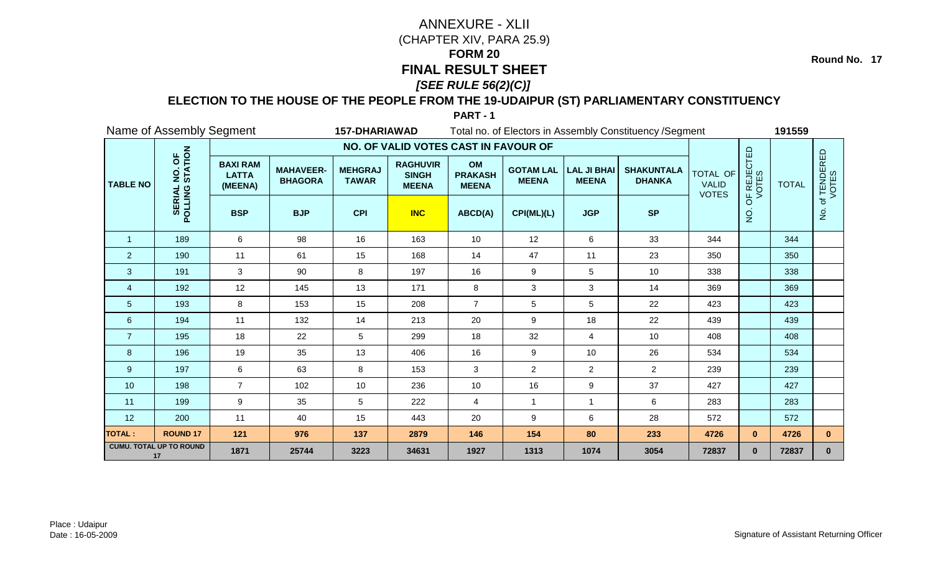**Round No. 17**

#### **ELECTION TO THE HOUSE OF THE PEOPLE FROM THE 19-UDAIPUR (ST) PARLIAMENTARY CONSTITUENCY**

| Name of Assembly Segment<br><b>157-DHARIAWAD</b><br>Total no. of Electors in Assembly Constituency / Segment |                                      |                                            |                                    |                                |                                                 |                                      |                                  |                                    |                                    |                                                 | 191559               |              |                      |
|--------------------------------------------------------------------------------------------------------------|--------------------------------------|--------------------------------------------|------------------------------------|--------------------------------|-------------------------------------------------|--------------------------------------|----------------------------------|------------------------------------|------------------------------------|-------------------------------------------------|----------------------|--------------|----------------------|
|                                                                                                              |                                      |                                            |                                    |                                | NO. OF VALID VOTES CAST IN FAVOUR OF            |                                      |                                  |                                    |                                    |                                                 |                      |              |                      |
| <b>TABLE NO</b>                                                                                              | NO. OF<br>STATION                    | <b>BAXI RAM</b><br><b>LATTA</b><br>(MEENA) | <b>MAHAVEER-</b><br><b>BHAGORA</b> | <b>MEHGRAJ</b><br><b>TAWAR</b> | <b>RAGHUVIR</b><br><b>SINGH</b><br><b>MEENA</b> | OM<br><b>PRAKASH</b><br><b>MEENA</b> | <b>GOTAM LAL</b><br><b>MEENA</b> | <b>LAL JI BHAI</b><br><b>MEENA</b> | <b>SHAKUNTALA</b><br><b>DHANKA</b> | <b>TOTAL OF</b><br><b>VALID</b><br><b>VOTES</b> | OF REJECTED<br>VOTES | <b>TOTAL</b> | of TENDERED<br>VOTES |
|                                                                                                              | POLLING                              | <b>BSP</b>                                 | <b>BJP</b>                         | <b>CPI</b>                     | <b>INC</b>                                      | ABCD(A)                              | CPI(ML)(L)                       | <b>JGP</b>                         | <b>SP</b>                          |                                                 | $\overline{Q}$       |              | $\dot{z}$            |
| $\mathbf{1}$                                                                                                 | 189                                  | 6                                          | 98                                 | 16                             | 163                                             | 10                                   | 12                               | 6                                  | 33                                 | 344                                             |                      | 344          |                      |
| $\overline{2}$                                                                                               | 190                                  | 11                                         | 61                                 | 15                             | 168                                             | 14                                   | 47                               | 11                                 | 23                                 | 350                                             |                      | 350          |                      |
| $\mathbf{3}$                                                                                                 | 191                                  | $\mathbf{3}$                               | 90                                 | 8                              | 197                                             | 16                                   | 9                                | 5                                  | 10                                 | 338                                             |                      | 338          |                      |
| $\overline{4}$                                                                                               | 192                                  | 12                                         | 145                                | 13                             | 171                                             | 8                                    | 3                                | 3                                  | 14                                 | 369                                             |                      | 369          |                      |
| $\overline{5}$                                                                                               | 193                                  | 8                                          | 153                                | 15                             | 208                                             | $\overline{7}$                       | 5                                | 5                                  | 22                                 | 423                                             |                      | 423          |                      |
| $6\phantom{1}6$                                                                                              | 194                                  | 11                                         | 132                                | 14                             | 213                                             | 20                                   | 9                                | 18                                 | 22                                 | 439                                             |                      | 439          |                      |
| $\overline{7}$                                                                                               | 195                                  | 18                                         | 22                                 | 5                              | 299                                             | 18                                   | 32                               | 4                                  | 10                                 | 408                                             |                      | 408          |                      |
| 8                                                                                                            | 196                                  | 19                                         | 35                                 | 13                             | 406                                             | 16                                   | 9                                | 10                                 | 26                                 | 534                                             |                      | 534          |                      |
| 9                                                                                                            | 197                                  | 6                                          | 63                                 | 8                              | 153                                             | 3                                    | $\overline{c}$                   | $\overline{2}$                     | $2^{\circ}$                        | 239                                             |                      | 239          |                      |
| 10                                                                                                           | 198                                  | $\overline{7}$                             | 102                                | 10                             | 236                                             | 10                                   | 16                               | 9                                  | 37                                 | 427                                             |                      | 427          |                      |
| 11                                                                                                           | 199                                  | 9                                          | 35                                 | 5                              | 222                                             | $\overline{4}$                       | $\overline{1}$                   | $\mathbf{1}$                       | 6                                  | 283                                             |                      | 283          |                      |
| 12                                                                                                           | 200                                  | 11                                         | 40                                 | 15                             | 443                                             | 20                                   | 9                                | 6                                  | 28                                 | 572                                             |                      | 572          |                      |
| <b>TOTAL:</b>                                                                                                | <b>ROUND 17</b>                      | 121                                        | 976                                | 137                            | 2879                                            | 146                                  | 154                              | 80                                 | 233                                | 4726                                            | $\mathbf{0}$         | 4726         | $\mathbf{0}$         |
|                                                                                                              | <b>CUMU. TOTAL UP TO ROUND</b><br>17 | 1871                                       | 25744                              | 3223                           | 34631                                           | 1927                                 | 1313                             | 1074                               | 3054                               | 72837                                           | $\mathbf{0}$         | 72837        | $\mathbf 0$          |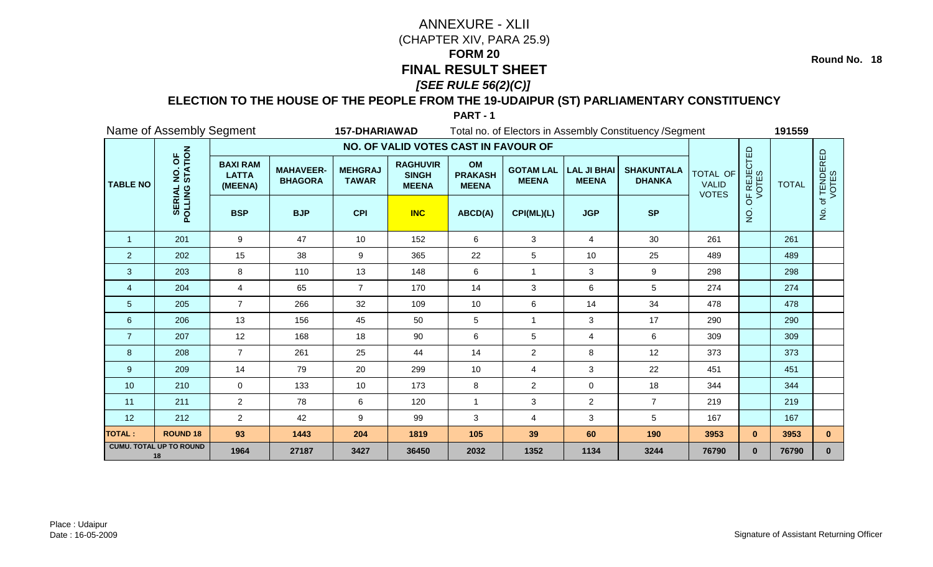**Round No. 18**

### **ELECTION TO THE HOUSE OF THE PEOPLE FROM THE 19-UDAIPUR (ST) PARLIAMENTARY CONSTITUENCY**

| Name of Assembly Segment<br>Total no. of Electors in Assembly Constituency / Segment<br><b>157-DHARIAWAD</b> |                                      |                                            |                                    |                                |                                                 |                                      |                                  |                                    |                                    |                                                 | 191559               |              |                      |
|--------------------------------------------------------------------------------------------------------------|--------------------------------------|--------------------------------------------|------------------------------------|--------------------------------|-------------------------------------------------|--------------------------------------|----------------------------------|------------------------------------|------------------------------------|-------------------------------------------------|----------------------|--------------|----------------------|
|                                                                                                              |                                      |                                            |                                    |                                | NO. OF VALID VOTES CAST IN FAVOUR OF            |                                      |                                  |                                    |                                    |                                                 |                      |              |                      |
| <b>TABLE NO</b>                                                                                              | NO. OF<br>STATION                    | <b>BAXI RAM</b><br><b>LATTA</b><br>(MEENA) | <b>MAHAVEER-</b><br><b>BHAGORA</b> | <b>MEHGRAJ</b><br><b>TAWAR</b> | <b>RAGHUVIR</b><br><b>SINGH</b><br><b>MEENA</b> | OM<br><b>PRAKASH</b><br><b>MEENA</b> | <b>GOTAM LAL</b><br><b>MEENA</b> | <b>LAL JI BHAI</b><br><b>MEENA</b> | <b>SHAKUNTALA</b><br><b>DHANKA</b> | <b>TOTAL OF</b><br><b>VALID</b><br><b>VOTES</b> | OF REJECTED<br>VOTES | <b>TOTAL</b> | of TENDERED<br>VOTES |
|                                                                                                              | <b>POLLING</b><br><b>SERIAI</b>      | <b>BSP</b>                                 | <b>BJP</b>                         | <b>CPI</b>                     | <b>INC</b>                                      | ABCD(A)                              | CPI(ML)(L)                       | <b>JGP</b>                         | <b>SP</b>                          |                                                 | $\frac{1}{2}$        |              | $\dot{z}$            |
| $\mathbf{1}$                                                                                                 | 201                                  | 9                                          | 47                                 | 10 <sup>1</sup>                | 152                                             | 6                                    | 3                                | $\overline{4}$                     | 30                                 | 261                                             |                      | 261          |                      |
| $\overline{2}$                                                                                               | 202                                  | 15                                         | 38                                 | 9                              | 365                                             | 22                                   | 5                                | 10                                 | 25                                 | 489                                             |                      | 489          |                      |
| 3                                                                                                            | 203                                  | 8                                          | 110                                | 13                             | 148                                             | 6                                    | 1                                | 3                                  | 9                                  | 298                                             |                      | 298          |                      |
| $\overline{4}$                                                                                               | 204                                  | 4                                          | 65                                 | $\overline{7}$                 | 170                                             | 14                                   | 3                                | 6                                  | $5\phantom{.0}$                    | 274                                             |                      | 274          |                      |
| 5                                                                                                            | 205                                  | $\overline{7}$                             | 266                                | 32                             | 109                                             | 10                                   | 6                                | 14                                 | 34                                 | 478                                             |                      | 478          |                      |
| 6                                                                                                            | 206                                  | 13                                         | 156                                | 45                             | 50                                              | 5                                    | $\overline{\mathbf{1}}$          | 3                                  | 17                                 | 290                                             |                      | 290          |                      |
| $\overline{7}$                                                                                               | 207                                  | 12                                         | 168                                | 18                             | 90                                              | 6                                    | 5                                | 4                                  | 6                                  | 309                                             |                      | 309          |                      |
| 8                                                                                                            | 208                                  | $\overline{7}$                             | 261                                | 25                             | 44                                              | 14                                   | $\overline{2}$                   | 8                                  | 12                                 | 373                                             |                      | 373          |                      |
| 9                                                                                                            | 209                                  | 14                                         | 79                                 | 20                             | 299                                             | 10                                   | 4                                | 3                                  | 22                                 | 451                                             |                      | 451          |                      |
| 10                                                                                                           | 210                                  | $\mathbf 0$                                | 133                                | 10                             | 173                                             | 8                                    | $\overline{2}$                   | $\mathsf{O}$                       | 18                                 | 344                                             |                      | 344          |                      |
| 11                                                                                                           | 211                                  | $\overline{2}$                             | 78                                 | 6                              | 120                                             | $\overline{1}$                       | 3                                | $\overline{a}$                     | $\overline{7}$                     | 219                                             |                      | 219          |                      |
| 12                                                                                                           | 212                                  | $\overline{2}$                             | 42                                 | 9                              | 99                                              | 3                                    | 4                                | 3                                  | $\sqrt{5}$                         | 167                                             |                      | 167          |                      |
| <b>TOTAL:</b>                                                                                                | <b>ROUND 18</b>                      | 93                                         | 1443                               | 204                            | 1819                                            | 105                                  | 39                               | 60                                 | 190                                | 3953                                            | $\mathbf{0}$         | 3953         | $\mathbf{0}$         |
|                                                                                                              | <b>CUMU. TOTAL UP TO ROUND</b><br>18 | 1964                                       | 27187                              | 3427                           | 36450                                           | 2032                                 | 1352                             | 1134                               | 3244                               | 76790                                           | $\mathbf{0}$         | 76790        | $\mathbf 0$          |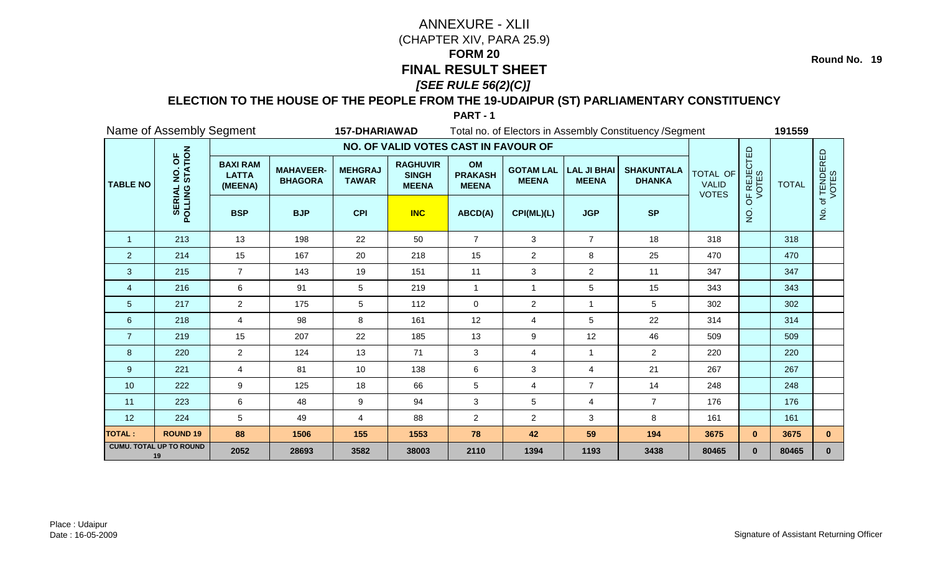**Round No. 19**

### **ELECTION TO THE HOUSE OF THE PEOPLE FROM THE 19-UDAIPUR (ST) PARLIAMENTARY CONSTITUENCY**

| Name of Assembly Segment<br><b>157-DHARIAWAD</b><br>Total no. of Electors in Assembly Constituency / Segment |                                      |                                            |                                    |                                |                                                 |                                      |                                  |                                    | 191559                             |                                                 |                      |              |                      |
|--------------------------------------------------------------------------------------------------------------|--------------------------------------|--------------------------------------------|------------------------------------|--------------------------------|-------------------------------------------------|--------------------------------------|----------------------------------|------------------------------------|------------------------------------|-------------------------------------------------|----------------------|--------------|----------------------|
|                                                                                                              |                                      |                                            |                                    |                                | NO. OF VALID VOTES CAST IN FAVOUR OF            |                                      |                                  |                                    |                                    |                                                 |                      |              |                      |
| <b>TABLE NO</b>                                                                                              | NO. OF<br>STATION                    | <b>BAXI RAM</b><br><b>LATTA</b><br>(MEENA) | <b>MAHAVEER-</b><br><b>BHAGORA</b> | <b>MEHGRAJ</b><br><b>TAWAR</b> | <b>RAGHUVIR</b><br><b>SINGH</b><br><b>MEENA</b> | OM<br><b>PRAKASH</b><br><b>MEENA</b> | <b>GOTAM LAL</b><br><b>MEENA</b> | <b>LAL JI BHAI</b><br><b>MEENA</b> | <b>SHAKUNTALA</b><br><b>DHANKA</b> | <b>TOTAL OF</b><br><b>VALID</b><br><b>VOTES</b> | OF REJECTED<br>VOTES | <b>TOTAL</b> | of TENDERED<br>VOTES |
|                                                                                                              | POLLING                              | <b>BSP</b>                                 | <b>BJP</b>                         | <b>CPI</b>                     | <b>INC</b>                                      | ABCD(A)                              | CPI(ML)(L)                       | <b>JGP</b>                         | <b>SP</b>                          |                                                 | $\overline{Q}$       |              | $\dot{\mathsf{S}}$   |
| $\mathbf{1}$                                                                                                 | 213                                  | 13                                         | 198                                | 22                             | 50                                              | $\overline{7}$                       | 3                                | $\overline{7}$                     | 18                                 | 318                                             |                      | 318          |                      |
| $\overline{2}$                                                                                               | 214                                  | 15                                         | 167                                | 20                             | 218                                             | 15                                   | $\overline{2}$                   | 8                                  | 25                                 | 470                                             |                      | 470          |                      |
| $\mathbf{3}$                                                                                                 | 215                                  | $\overline{7}$                             | 143                                | 19                             | 151                                             | 11                                   | 3                                | $\overline{a}$                     | 11                                 | 347                                             |                      | 347          |                      |
| $\overline{4}$                                                                                               | 216                                  | 6                                          | 91                                 | 5                              | 219                                             | $\overline{1}$                       | 1                                | 5                                  | 15                                 | 343                                             |                      | 343          |                      |
| $\overline{5}$                                                                                               | 217                                  | $\overline{2}$                             | 175                                | 5                              | 112                                             | $\mathbf 0$                          | $\overline{2}$                   | 1                                  | 5                                  | 302                                             |                      | 302          |                      |
| $6\phantom{1}6$                                                                                              | 218                                  | $\overline{4}$                             | 98                                 | 8                              | 161                                             | 12                                   | 4                                | 5                                  | 22                                 | 314                                             |                      | 314          |                      |
| $\overline{7}$                                                                                               | 219                                  | 15                                         | 207                                | 22                             | 185                                             | 13                                   | 9                                | 12                                 | 46                                 | 509                                             |                      | 509          |                      |
| 8                                                                                                            | 220                                  | $\overline{2}$                             | 124                                | 13                             | 71                                              | 3                                    | 4                                | $\mathbf{1}$                       | $\overline{2}$                     | 220                                             |                      | 220          |                      |
| 9                                                                                                            | 221                                  | $\overline{4}$                             | 81                                 | 10                             | 138                                             | 6                                    | 3                                | 4                                  | 21                                 | 267                                             |                      | 267          |                      |
| 10                                                                                                           | 222                                  | 9                                          | 125                                | 18                             | 66                                              | $\sqrt{5}$                           | 4                                | $\overline{7}$                     | 14                                 | 248                                             |                      | 248          |                      |
| 11                                                                                                           | 223                                  | 6                                          | 48                                 | 9                              | 94                                              | $\mathbf{3}$                         | 5                                | $\overline{4}$                     | $\overline{7}$                     | 176                                             |                      | 176          |                      |
| 12                                                                                                           | 224                                  | 5                                          | 49                                 | 4                              | 88                                              | $\overline{2}$                       | $\overline{2}$                   | 3                                  | 8                                  | 161                                             |                      | 161          |                      |
| <b>TOTAL:</b>                                                                                                | <b>ROUND 19</b>                      | 88                                         | 1506                               | 155                            | 1553                                            | 78                                   | 42                               | 59                                 | 194                                | 3675                                            | $\mathbf{0}$         | 3675         | $\mathbf{0}$         |
|                                                                                                              | <b>CUMU. TOTAL UP TO ROUND</b><br>19 | 2052                                       | 28693                              | 3582                           | 38003                                           | 2110                                 | 1394                             | 1193                               | 3438                               | 80465                                           | $\mathbf{0}$         | 80465        | $\mathbf 0$          |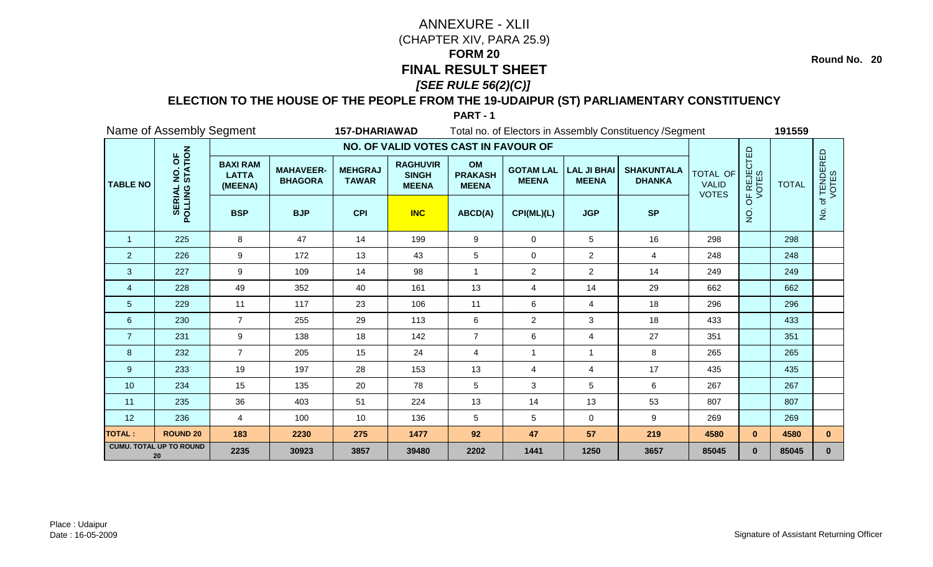**Round No. 20**

### **ELECTION TO THE HOUSE OF THE PEOPLE FROM THE 19-UDAIPUR (ST) PARLIAMENTARY CONSTITUENCY**

| Name of Assembly Segment<br><b>157-DHARIAWAD</b> |                                      |                                            |                                    |                                |                                                 | Total no. of Electors in Assembly Constituency / Segment |                                  |                                    |                                    |                                          |                      | 191559       |                      |  |
|--------------------------------------------------|--------------------------------------|--------------------------------------------|------------------------------------|--------------------------------|-------------------------------------------------|----------------------------------------------------------|----------------------------------|------------------------------------|------------------------------------|------------------------------------------|----------------------|--------------|----------------------|--|
|                                                  |                                      |                                            |                                    |                                | NO. OF VALID VOTES CAST IN FAVOUR OF            |                                                          |                                  |                                    |                                    |                                          |                      |              |                      |  |
| <b>TABLE NO</b>                                  | NO. OF<br>STATION                    | <b>BAXI RAM</b><br><b>LATTA</b><br>(MEENA) | <b>MAHAVEER-</b><br><b>BHAGORA</b> | <b>MEHGRAJ</b><br><b>TAWAR</b> | <b>RAGHUVIR</b><br><b>SINGH</b><br><b>MEENA</b> | OM<br><b>PRAKASH</b><br><b>MEENA</b>                     | <b>GOTAM LAL</b><br><b>MEENA</b> | <b>LAL JI BHAI</b><br><b>MEENA</b> | <b>SHAKUNTALA</b><br><b>DHANKA</b> | TOTAL OF<br><b>VALID</b><br><b>VOTES</b> | OF REJECTED<br>VOTES | <b>TOTAL</b> | of TENDERED<br>VOTES |  |
|                                                  | POLLING                              | <b>BSP</b>                                 | <b>BJP</b>                         | <b>CPI</b>                     | <b>INC</b>                                      | ABCD(A)                                                  | CPI(ML)(L)                       | <b>JGP</b>                         | <b>SP</b>                          |                                          | oj<br>Z              |              | $\frac{1}{2}$        |  |
| $\mathbf{1}$                                     | 225                                  | 8                                          | 47                                 | 14                             | 199                                             | 9                                                        | 0                                | 5                                  | 16                                 | 298                                      |                      | 298          |                      |  |
| $\overline{2}$                                   | 226                                  | $\boldsymbol{9}$                           | 172                                | 13                             | 43                                              | 5                                                        | 0                                | $\overline{a}$                     | $\overline{4}$                     | 248                                      |                      | 248          |                      |  |
| 3                                                | 227                                  | 9                                          | 109                                | 14                             | 98                                              | $\overline{1}$                                           | $\overline{c}$                   | $\overline{2}$                     | 14                                 | 249                                      |                      | 249          |                      |  |
| $\overline{4}$                                   | 228                                  | 49                                         | 352                                | 40                             | 161                                             | 13                                                       | 4                                | 14                                 | 29                                 | 662                                      |                      | 662          |                      |  |
| 5                                                | 229                                  | 11                                         | 117                                | 23                             | 106                                             | 11                                                       | 6                                | $\overline{4}$                     | 18                                 | 296                                      |                      | 296          |                      |  |
| 6                                                | 230                                  | $\overline{7}$                             | 255                                | 29                             | 113                                             | 6                                                        | $\overline{c}$                   | 3                                  | 18                                 | 433                                      |                      | 433          |                      |  |
| $\overline{7}$                                   | 231                                  | 9                                          | 138                                | 18                             | 142                                             | $\overline{7}$                                           | 6                                | 4                                  | 27                                 | 351                                      |                      | 351          |                      |  |
| 8                                                | 232                                  | $\overline{7}$                             | 205                                | 15                             | 24                                              | $\overline{4}$                                           | 1                                | -1                                 | 8                                  | 265                                      |                      | 265          |                      |  |
| 9                                                | 233                                  | 19                                         | 197                                | 28                             | 153                                             | 13                                                       | 4                                | 4                                  | 17                                 | 435                                      |                      | 435          |                      |  |
| 10                                               | 234                                  | 15                                         | 135                                | 20                             | 78                                              | 5                                                        | 3                                | 5                                  | 6                                  | 267                                      |                      | 267          |                      |  |
| 11                                               | 235                                  | 36                                         | 403                                | 51                             | 224                                             | 13                                                       | 14                               | 13                                 | 53                                 | 807                                      |                      | 807          |                      |  |
| 12                                               | 236                                  | 4                                          | 100                                | 10 <sup>1</sup>                | 136                                             | 5                                                        | 5                                | $\mathbf 0$                        | 9                                  | 269                                      |                      | 269          |                      |  |
| <b>TOTAL:</b>                                    | <b>ROUND 20</b>                      | 183                                        | 2230                               | 275                            | 1477                                            | 92                                                       | 47                               | 57                                 | 219                                | 4580                                     | $\mathbf{0}$         | 4580         | $\mathbf{0}$         |  |
|                                                  | <b>CUMU. TOTAL UP TO ROUND</b><br>20 | 2235                                       | 30923                              | 3857                           | 39480                                           | 2202                                                     | 1441                             | 1250                               | 3657                               | 85045                                    | $\mathbf{0}$         | 85045        | $\mathbf{0}$         |  |